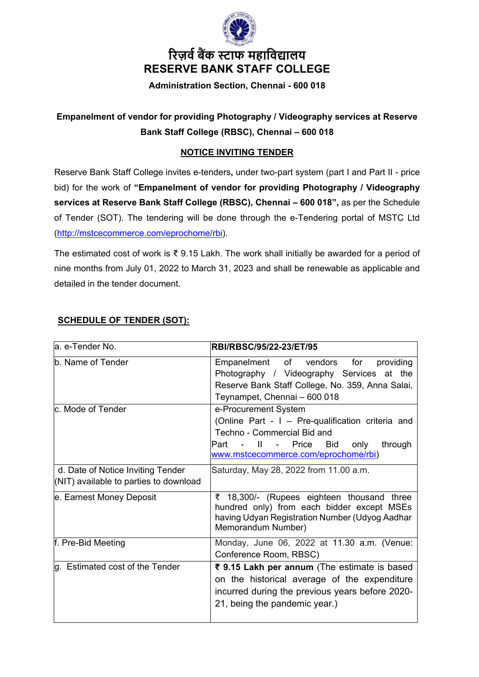

# **�रज़व� ब�क स् टाफ महािव�ालय RESERVE BANK STAFF COLLEGE**

**Administration Section, Chennai - 600 018**

## **Empanelment of vendor for providing Photography / Videography services at Reserve Bank Staff College (RBSC), Chennai – 600 018**

## **NOTICE INVITING TENDER**

Reserve Bank Staff College invites e-tenders**,** under two-part system (part I and Part II - price bid) for the work of **"Empanelment of vendor for providing Photography / Videography services at Reserve Bank Staff College (RBSC), Chennai – 600 018",** as per the Schedule of Tender (SOT). The tendering will be done through the e-Tendering portal of MSTC Ltd [\(http://mstcecommerce.com/eprochome/rbi\)](https://www.mstcecommerce.com/eprochome/rbi).

The estimated cost of work is ₹ 9.15 Lakh. The work shall initially be awarded for a period of nine months from July 01, 2022 to March 31, 2023 and shall be renewable as applicable and detailed in the tender document.

| <b>SCHEDULE OF TENDER (SOT):</b> |  |  |
|----------------------------------|--|--|
|                                  |  |  |

| la. e-Tender No.                                                            | RBI/RBSC/95/22-23/ET/95                                                                                                                                                                                   |
|-----------------------------------------------------------------------------|-----------------------------------------------------------------------------------------------------------------------------------------------------------------------------------------------------------|
| b. Name of Tender                                                           | providing<br>vendors<br>Empanelment<br>of<br>for<br>Photography / Videography Services at the<br>Reserve Bank Staff College, No. 359, Anna Salai,<br>Teynampet, Chennai - 600 018                         |
| lc. Mode of Tender                                                          | e-Procurement System<br>(Online Part - I - Pre-qualification criteria and<br>Techno - Commercial Bid and<br>only<br>through<br>Part - II -<br>Price<br><b>Bid</b><br>www.mstcecommerce.com/eprochome/rbi) |
| d. Date of Notice Inviting Tender<br>(NIT) available to parties to download | Saturday, May 28, 2022 from 11.00 a.m.                                                                                                                                                                    |
| e. Earnest Money Deposit                                                    | ₹ 18,300/- (Rupees eighteen thousand three<br>hundred only) from each bidder except MSEs<br>having Udyan Registration Number (Udyog Aadhar<br>Memorandum Number)                                          |
| f. Pre-Bid Meeting                                                          | Monday, June 06, 2022 at 11.30 a.m. (Venue:<br>Conference Room, RBSC)                                                                                                                                     |
| g. Estimated cost of the Tender                                             | ₹ 9.15 Lakh per annum (The estimate is based<br>on the historical average of the expenditure<br>incurred during the previous years before 2020-<br>21, being the pandemic year.)                          |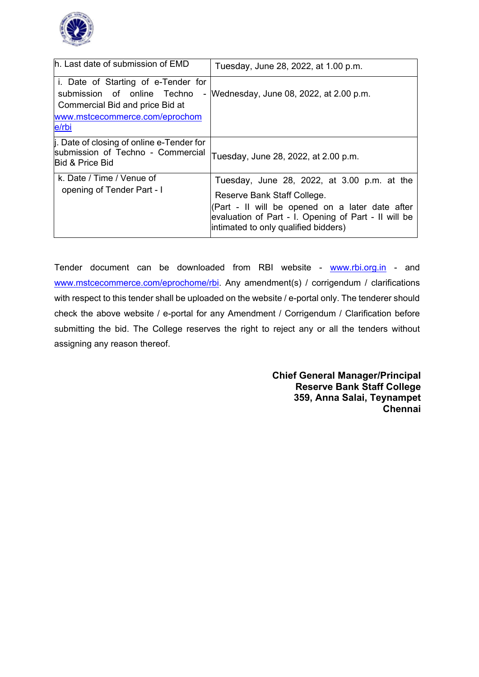

| h. Last date of submission of EMD                                                                                                                | Tuesday, June 28, 2022, at 1.00 p.m.                                                                                                                                                                                          |
|--------------------------------------------------------------------------------------------------------------------------------------------------|-------------------------------------------------------------------------------------------------------------------------------------------------------------------------------------------------------------------------------|
| i. Date of Starting of e-Tender for<br>submission of online Techno<br>Commercial Bid and price Bid at<br>www.mstcecommerce.com/eprochom<br>e/rbi | - Wednesday, June 08, 2022, at 2.00 p.m.                                                                                                                                                                                      |
| . Date of closing of online e-Tender for<br>submission of Techno - Commercial<br><b>IBid &amp; Price Bid</b>                                     | Tuesday, June 28, 2022, at 2.00 p.m.                                                                                                                                                                                          |
| k. Date / Time / Venue of<br>opening of Tender Part - I                                                                                          | Tuesday, June 28, 2022, at 3.00 p.m. at the<br>Reserve Bank Staff College.<br>(Part - Il will be opened on a later date after<br>evaluation of Part - I. Opening of Part - Il will be<br>intimated to only qualified bidders) |

Tender document can be downloaded from RBI website - [www.rbi.org.in](https://www.rbi.org.in/) - and [www.mstcecommerce.com/eprochome/rbi.](https://www.mstcecommerce.com/eprochome/rbi) Any amendment(s) / corrigendum / clarifications with respect to this tender shall be uploaded on the website / e-portal only. The tenderer should check the above website / e-portal for any Amendment / Corrigendum / Clarification before submitting the bid. The College reserves the right to reject any or all the tenders without assigning any reason thereof.

> **Chief General Manager/Principal Reserve Bank Staff College 359, Anna Salai, Teynampet Chennai**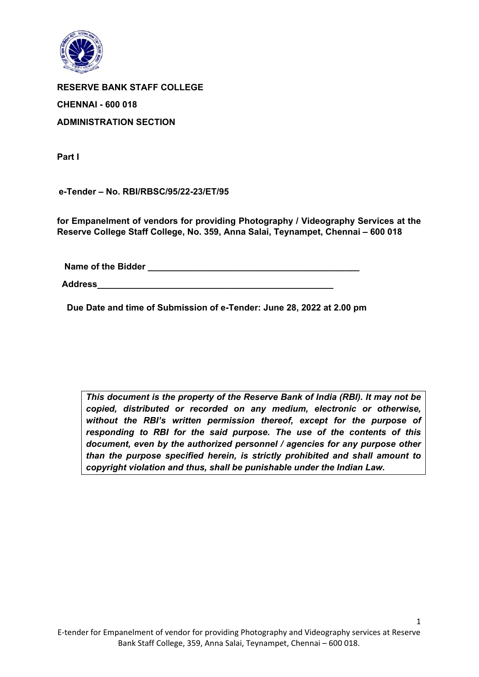

**RESERVE BANK STAFF COLLEGE CHENNAI - 600 018 ADMINISTRATION SECTION** 

**Part I**

 **e-Tender – No. RBI/RBSC/95/22-23/ET/95** 

**for Empanelment of vendors for providing Photography / Videography Services at the Reserve College Staff College, No. 359, Anna Salai, Teynampet, Chennai – 600 018**

 **Name of the Bidder \_\_\_\_\_\_\_\_\_\_\_\_\_\_\_\_\_\_\_\_\_\_\_\_\_\_\_\_\_\_\_\_\_\_\_\_\_\_\_\_\_\_\_**

 **Address\_\_\_\_\_\_\_\_\_\_\_\_\_\_\_\_\_\_\_\_\_\_\_\_\_\_\_\_\_\_\_\_\_\_\_\_\_\_\_\_\_\_\_\_\_\_\_\_**

 **Due Date and time of Submission of e-Tender: June 28, 2022 at 2.00 pm**

*This document is the property of the Reserve Bank of India (RBI). It may not be copied, distributed or recorded on any medium, electronic or otherwise, without the RBI's written permission thereof, except for the purpose of responding to RBI for the said purpose. The use of the contents of this document, even by the authorized personnel / agencies for any purpose other than the purpose specified herein, is strictly prohibited and shall amount to copyright violation and thus, shall be punishable under the Indian Law.*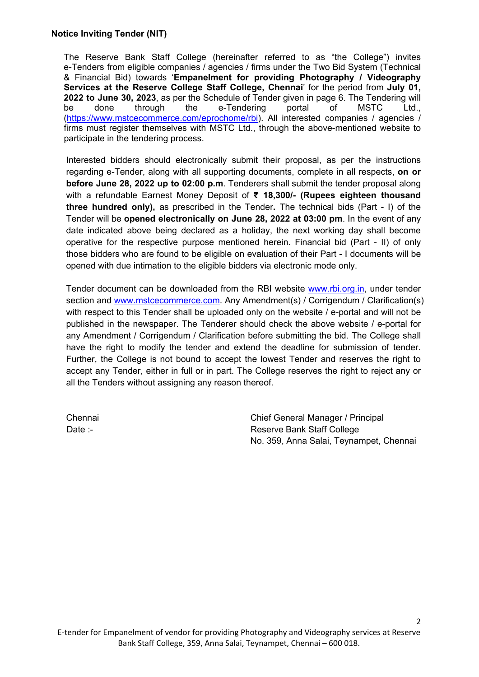The Reserve Bank Staff College (hereinafter referred to as "the College") invites e-Tenders from eligible companies / agencies / firms under the Two Bid System (Technical & Financial Bid) towards '**Empanelment for providing Photography / Videography Services at the Reserve College Staff College, Chennai**' for the period from **July 01, 2022 to June 30, 2023**, as per the Schedule of Tender given in page 6. The Tendering will be done through the e-Tendering portal of MSTC Ltd., [\(https://www.mstcecommerce.com/eprochome/rbi\)](https://www.mstcecommerce.com/eprochome/rbi). All interested companies / agencies / firms must register themselves with MSTC Ltd., through the above-mentioned website to participate in the tendering process.

Interested bidders should electronically submit their proposal, as per the instructions regarding e-Tender, along with all supporting documents, complete in all respects, **on or before June 28, 2022 up to 02:00 p.m**. Tenderers shall submit the tender proposal along with a refundable Earnest Money Deposit of **₹ 18,300/- (Rupees eighteen thousand three hundred only),** as prescribed in the Tender**.** The technical bids (Part - I) of the Tender will be **opened electronically on June 28, 2022 at 03:00 pm**. In the event of any date indicated above being declared as a holiday, the next working day shall become operative for the respective purpose mentioned herein. Financial bid (Part - II) of only those bidders who are found to be eligible on evaluation of their Part - I documents will be opened with due intimation to the eligible bidders via electronic mode only.

Tender document can be downloaded from the RBI website [www.rbi.org.in,](https://www.rbi.org.in/) under tender section and [www.mstcecommerce.com.](https://www.mstcecommerce.com/) Any Amendment(s) / Corrigendum / Clarification(s) with respect to this Tender shall be uploaded only on the website / e-portal and will not be published in the newspaper. The Tenderer should check the above website / e-portal for any Amendment / Corrigendum / Clarification before submitting the bid. The College shall have the right to modify the tender and extend the deadline for submission of tender. Further, the College is not bound to accept the lowest Tender and reserves the right to accept any Tender, either in full or in part. The College reserves the right to reject any or all the Tenders without assigning any reason thereof.

Chennai Chennai Chief General Manager / Principal Date :- Date :- Reserve Bank Staff College No. 359, Anna Salai, Teynampet, Chennai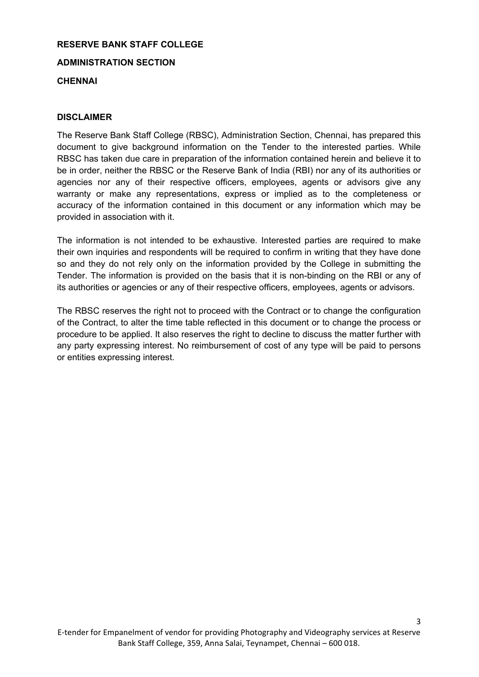## **RESERVE BANK STAFF COLLEGE**

**ADMINISTRATION SECTION** 

#### **CHENNAI**

#### **DISCLAIMER**

The Reserve Bank Staff College (RBSC), Administration Section, Chennai, has prepared this document to give background information on the Tender to the interested parties. While RBSC has taken due care in preparation of the information contained herein and believe it to be in order, neither the RBSC or the Reserve Bank of India (RBI) nor any of its authorities or agencies nor any of their respective officers, employees, agents or advisors give any warranty or make any representations, express or implied as to the completeness or accuracy of the information contained in this document or any information which may be provided in association with it.

The information is not intended to be exhaustive. Interested parties are required to make their own inquiries and respondents will be required to confirm in writing that they have done so and they do not rely only on the information provided by the College in submitting the Tender. The information is provided on the basis that it is non-binding on the RBI or any of its authorities or agencies or any of their respective officers, employees, agents or advisors.

The RBSC reserves the right not to proceed with the Contract or to change the configuration of the Contract, to alter the time table reflected in this document or to change the process or procedure to be applied. It also reserves the right to decline to discuss the matter further with any party expressing interest. No reimbursement of cost of any type will be paid to persons or entities expressing interest.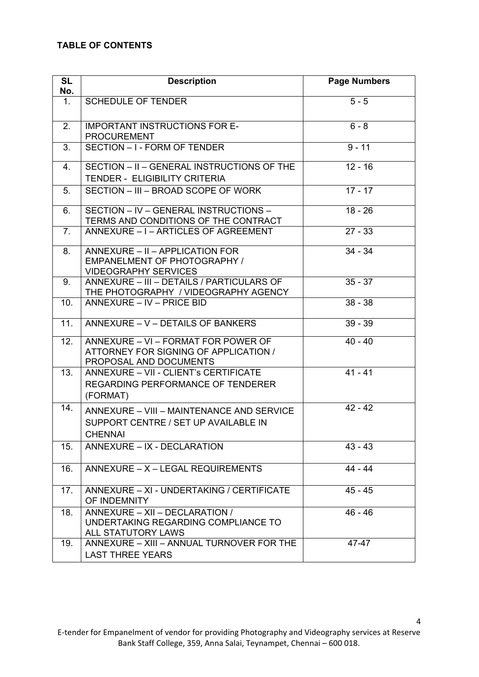## **TABLE OF CONTENTS**

| <b>SL</b><br>No. | <b>Description</b>                                                                                     | <b>Page Numbers</b> |
|------------------|--------------------------------------------------------------------------------------------------------|---------------------|
| $\mathbf{1}$ .   | <b>SCHEDULE OF TENDER</b>                                                                              | $5 - 5$             |
| 2.               | <b>IMPORTANT INSTRUCTIONS FOR E-</b><br><b>PROCUREMENT</b>                                             | $6 - 8$             |
| 3.               | SECTION - I - FORM OF TENDER                                                                           | $9 - 11$            |
| 4.               | SECTION - II - GENERAL INSTRUCTIONS OF THE<br><b>TENDER - ELIGIBILITY CRITERIA</b>                     | $12 - 16$           |
| 5.               | SECTION - III - BROAD SCOPE OF WORK                                                                    | $17 - 17$           |
| 6.               | SECTION - IV - GENERAL INSTRUCTIONS -<br>TERMS AND CONDITIONS OF THE CONTRACT                          | $18 - 26$           |
| 7 <sub>1</sub>   | ANNEXURE - I - ARTICLES OF AGREEMENT                                                                   | $27 - 33$           |
| 8.               | ANNEXURE - II - APPLICATION FOR<br><b>EMPANELMENT OF PHOTOGRAPHY /</b><br><b>VIDEOGRAPHY SERVICES</b>  | $34 - 34$           |
| 9.               | ANNEXURE - III - DETAILS / PARTICULARS OF<br>THE PHOTOGRAPHY / VIDEOGRAPHY AGENCY                      | $35 - 37$           |
| 10.              | ANNEXURE - IV - PRICE BID                                                                              | $38 - 38$           |
| 11.              | ANNEXURE - V - DETAILS OF BANKERS                                                                      | $39 - 39$           |
| 12.              | ANNEXURE - VI - FORMAT FOR POWER OF<br>ATTORNEY FOR SIGNING OF APPLICATION /<br>PROPOSAL AND DOCUMENTS | $40 - 40$           |
| 13.              | ANNEXURE - VII - CLIENT's CERTIFICATE<br>REGARDING PERFORMANCE OF TENDERER<br>(FORMAT)                 | $41 - 41$           |
| 14.              | ANNEXURE - VIII - MAINTENANCE AND SERVICE<br>SUPPORT CENTRE / SET UP AVAILABLE IN<br><b>CHENNAI</b>    | $42 - 42$           |
| 15.              | ANNEXURE - IX - DECLARATION                                                                            | $43 - 43$           |
| 16.              | ANNEXURE - X - LEGAL REQUIREMENTS                                                                      | $44 - 44$           |
| 17.              | ANNEXURE - XI - UNDERTAKING / CERTIFICATE<br>OF INDEMNITY                                              | $45 - 45$           |
| 18.              | ANNEXURE - XII - DECLARATION /<br>UNDERTAKING REGARDING COMPLIANCE TO<br><b>ALL STATUTORY LAWS</b>     | 46 - 46             |
| 19.              | ANNEXURE - XIII - ANNUAL TURNOVER FOR THE<br><b>LAST THREE YEARS</b>                                   | 47-47               |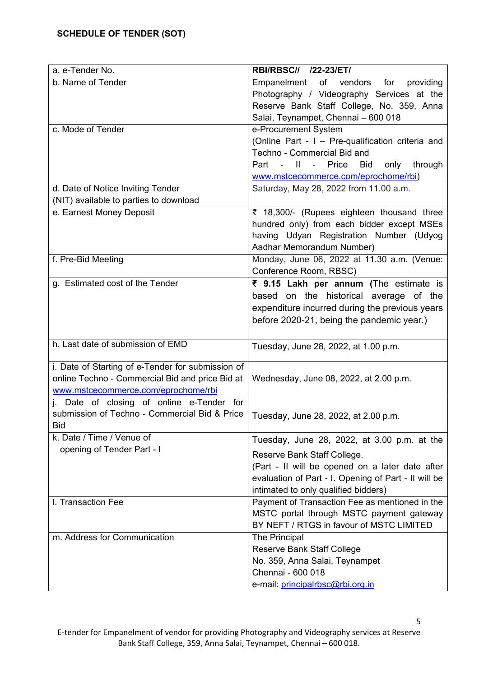| a. e-Tender No.                                   | RBI/RBSC// /22-23/ET/                                                            |
|---------------------------------------------------|----------------------------------------------------------------------------------|
| b. Name of Tender                                 | $\overline{of}$ vendors<br>Empanelment<br>for<br>providing                       |
|                                                   | Photography / Videography Services at the                                        |
|                                                   | Reserve Bank Staff College, No. 359, Anna                                        |
|                                                   | Salai, Teynampet, Chennai - 600 018                                              |
| c. Mode of Tender                                 | e-Procurement System                                                             |
|                                                   | (Online Part - I - Pre-qualification criteria and<br>Techno - Commercial Bid and |
|                                                   | Part - II - Price<br><b>Bid</b><br>only<br>through                               |
|                                                   | www.mstcecommerce.com/eprochome/rbi)                                             |
| d. Date of Notice Inviting Tender                 | Saturday, May 28, 2022 from 11.00 a.m.                                           |
| (NIT) available to parties to download            |                                                                                  |
| e. Earnest Money Deposit                          | ₹ 18,300/- (Rupees eighteen thousand three                                       |
|                                                   | hundred only) from each bidder except MSEs                                       |
|                                                   | having Udyan Registration Number (Udyog                                          |
|                                                   | Aadhar Memorandum Number)                                                        |
| f. Pre-Bid Meeting                                | Monday, June 06, 2022 at 11.30 a.m. (Venue:                                      |
|                                                   | Conference Room, RBSC)                                                           |
| g. Estimated cost of the Tender                   | ₹ 9.15 Lakh per annum (The estimate is                                           |
|                                                   | based on the historical average of the                                           |
|                                                   | expenditure incurred during the previous years                                   |
|                                                   | before 2020-21, being the pandemic year.)                                        |
|                                                   |                                                                                  |
| h. Last date of submission of EMD                 | Tuesday, June 28, 2022, at 1.00 p.m.                                             |
| i. Date of Starting of e-Tender for submission of |                                                                                  |
| online Techno - Commercial Bid and price Bid at   | Wednesday, June 08, 2022, at 2.00 p.m.                                           |
| www.mstcecommerce.com/eprochome/rbi               |                                                                                  |
| j. Date of closing of online e-Tender for         |                                                                                  |
| submission of Techno - Commercial Bid & Price     | Tuesday, June 28, 2022, at 2.00 p.m.                                             |
| <b>Bid</b>                                        |                                                                                  |
| k. Date / Time / Venue of                         | Tuesday, June 28, 2022, at 3.00 p.m. at the                                      |
| opening of Tender Part - I                        | Reserve Bank Staff College.                                                      |
|                                                   | (Part - Il will be opened on a later date after                                  |
|                                                   | evaluation of Part - I. Opening of Part - II will be                             |
|                                                   | intimated to only qualified bidders)                                             |
| I. Transaction Fee                                | Payment of Transaction Fee as mentioned in the                                   |
|                                                   | MSTC portal through MSTC payment gateway                                         |
|                                                   | BY NEFT / RTGS in favour of MSTC LIMITED                                         |
| m. Address for Communication                      | The Principal                                                                    |
|                                                   | Reserve Bank Staff College                                                       |
|                                                   | No. 359, Anna Salai, Teynampet<br>Chennai - 600 018                              |
|                                                   | e-mail: principalrbsc@rbi.org.in                                                 |
|                                                   |                                                                                  |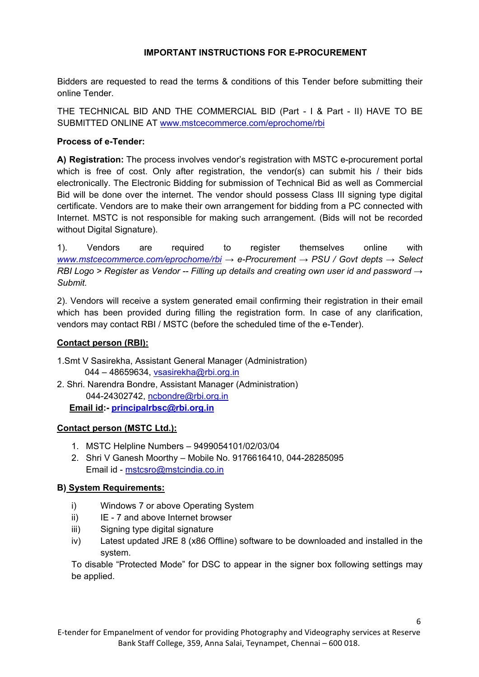## **IMPORTANT INSTRUCTIONS FOR E-PROCUREMENT**

Bidders are requested to read the terms & conditions of this Tender before submitting their online Tender.

THE TECHNICAL BID AND THE COMMERCIAL BID (Part - I & Part - II) HAVE TO BE SUBMITTED ONLINE AT [www.mstcecommerce.com/eprochome/rbi](https://www.mstcecommerce.com/eprochome/rbi) 

#### **Process of e-Tender:**

**A) Registration:** The process involves vendor's registration with MSTC e-procurement portal which is free of cost. Only after registration, the vendor(s) can submit his / their bids electronically. The Electronic Bidding for submission of Technical Bid as well as Commercial Bid will be done over the internet. The vendor should possess Class III signing type digital certificate. Vendors are to make their own arrangement for bidding from a PC connected with Internet. MSTC is not responsible for making such arrangement. (Bids will not be recorded without Digital Signature).

1). Vendors are required to register themselves online with *[www.mstcecommerce.com/eprochome/rbi](https://www.mstcecommerce.com/eprochome/rbi) → e-Procurement → PSU / Govt depts → Select RBI Logo > Register as Vendor -- Filling up details and creating own user id and password → Submit.*

2). Vendors will receive a system generated email confirming their registration in their email which has been provided during filling the registration form. In case of any clarification, vendors may contact RBI / MSTC (before the scheduled time of the e-Tender).

#### **Contact person (RBI):**

1.Smt V Sasirekha, Assistant General Manager (Administration) 044 – 48659634, vsasirekha@rbi.org.in

2. Shri. Narendra Bondre, Assistant Manager (Administration) 044-24302742, [ncbondre@rbi.org.in](mailto:ncbondre@rbi.org.in)

 **Email id:- [principalrbsc@rbi.org.in](mailto:principalrbsc@rbi.org.in)** 

## **Contact person (MSTC Ltd.):**

- 1. MSTC Helpline Numbers 9499054101/02/03/04
- 2. Shri V Ganesh Moorthy Mobile No. 9176616410, 044-28285095 Email id - [mstcsro@mstcindia.co.in](mailto:mstcsro@mstcindia.co.in)

#### **B) System Requirements:**

- i) Windows 7 or above Operating System
- ii) IE 7 and above Internet browser
- iii) Signing type digital signature
- iv) Latest updated JRE 8 (x86 Offline) software to be downloaded and installed in the system.

To disable "Protected Mode" for DSC to appear in the signer box following settings may be applied.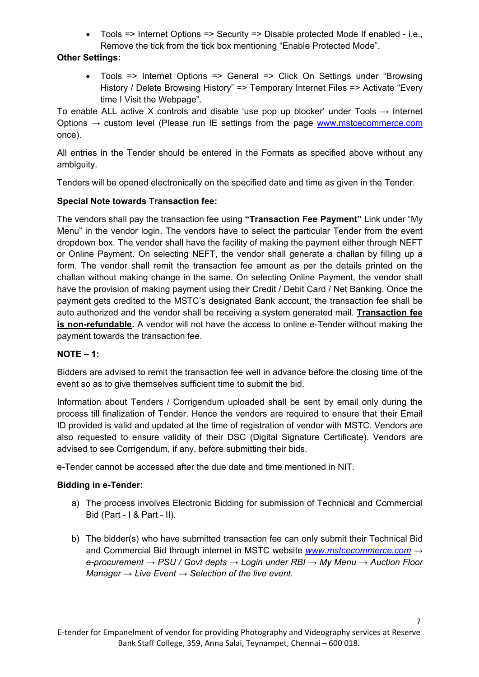• Tools => Internet Options => Security => Disable protected Mode If enabled - i.e., Remove the tick from the tick box mentioning "Enable Protected Mode".

## **Other Settings:**

• Tools => Internet Options => General => Click On Settings under "Browsing History / Delete Browsing History" => Temporary Internet Files => Activate "Every time I Visit the Webpage".

To enable ALL active X controls and disable 'use pop up blocker' under Tools  $\rightarrow$  Internet Options  $\rightarrow$  custom level (Please run IE settings from the page [www.mstcecommerce.com](https://www.mstcecommerce.com/) once).

All entries in the Tender should be entered in the Formats as specified above without any ambiguity.

Tenders will be opened electronically on the specified date and time as given in the Tender.

## **Special Note towards Transaction fee:**

The vendors shall pay the transaction fee using **"Transaction Fee Payment"** Link under "My Menu" in the vendor login. The vendors have to select the particular Tender from the event dropdown box. The vendor shall have the facility of making the payment either through NEFT or Online Payment. On selecting NEFT, the vendor shall generate a challan by filling up a form. The vendor shall remit the transaction fee amount as per the details printed on the challan without making change in the same. On selecting Online Payment, the vendor shall have the provision of making payment using their Credit / Debit Card / Net Banking. Once the payment gets credited to the MSTC's designated Bank account, the transaction fee shall be auto authorized and the vendor shall be receiving a system generated mail. **Transaction fee is non-refundable.** A vendor will not have the access to online e-Tender without making the payment towards the transaction fee.

## **NOTE – 1:**

Bidders are advised to remit the transaction fee well in advance before the closing time of the event so as to give themselves sufficient time to submit the bid.

Information about Tenders / Corrigendum uploaded shall be sent by email only during the process till finalization of Tender. Hence the vendors are required to ensure that their Email ID provided is valid and updated at the time of registration of vendor with MSTC. Vendors are also requested to ensure validity of their DSC (Digital Signature Certificate). Vendors are advised to see Corrigendum, if any, before submitting their bids.

e-Tender cannot be accessed after the due date and time mentioned in NIT.

## **Bidding in e-Tender:**

- a) The process involves Electronic Bidding for submission of Technical and Commercial Bid (Part - I & Part - II).
- b) The bidder(s) who have submitted transaction fee can only submit their Technical Bid and Commercial Bid through internet in MSTC website *[www.mstcecommerce.com](https://www.mstcecommerce.com/) → e-procurement → PSU / Govt depts → Login under RBI → My Menu → Auction Floor Manager → Live Event → Selection of the live event.*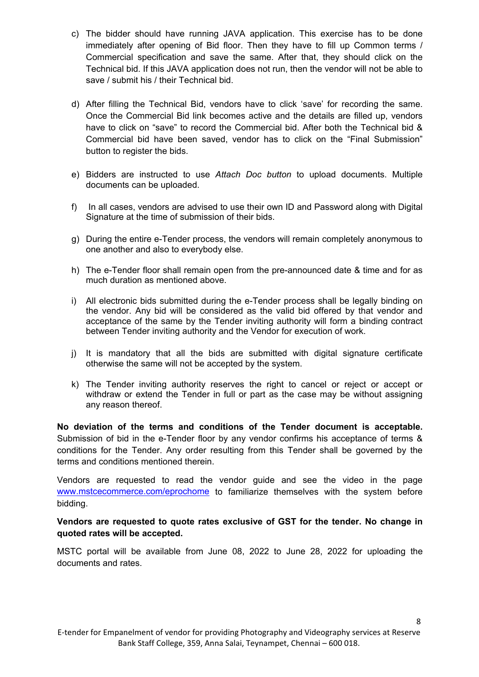- c) The bidder should have running JAVA application. This exercise has to be done immediately after opening of Bid floor. Then they have to fill up Common terms / Commercial specification and save the same. After that, they should click on the Technical bid. If this JAVA application does not run, then the vendor will not be able to save / submit his / their Technical bid.
- d) After filling the Technical Bid, vendors have to click 'save' for recording the same. Once the Commercial Bid link becomes active and the details are filled up, vendors have to click on "save" to record the Commercial bid. After both the Technical bid & Commercial bid have been saved, vendor has to click on the "Final Submission" button to register the bids.
- e) Bidders are instructed to use *Attach Doc button* to upload documents. Multiple documents can be uploaded.
- f) In all cases, vendors are advised to use their own ID and Password along with Digital Signature at the time of submission of their bids.
- g) During the entire e-Tender process, the vendors will remain completely anonymous to one another and also to everybody else.
- h) The e-Tender floor shall remain open from the pre-announced date & time and for as much duration as mentioned above.
- i) All electronic bids submitted during the e-Tender process shall be legally binding on the vendor. Any bid will be considered as the valid bid offered by that vendor and acceptance of the same by the Tender inviting authority will form a binding contract between Tender inviting authority and the Vendor for execution of work.
- j) It is mandatory that all the bids are submitted with digital signature certificate otherwise the same will not be accepted by the system.
- k) The Tender inviting authority reserves the right to cancel or reject or accept or withdraw or extend the Tender in full or part as the case may be without assigning any reason thereof.

**No deviation of the terms and conditions of the Tender document is acceptable.** Submission of bid in the e-Tender floor by any vendor confirms his acceptance of terms & conditions for the Tender. Any order resulting from this Tender shall be governed by the terms and conditions mentioned therein.

Vendors are requested to read the vendor guide and see the video in the page [www.mstcecommerce.com/eprochome](https://www.mstcecommerce.com/eprochome) to familiarize themselves with the system before bidding.

#### **Vendors are requested to quote rates exclusive of GST for the tender. No change in quoted rates will be accepted.**

MSTC portal will be available from June 08, 2022 to June 28, 2022 for uploading the documents and rates.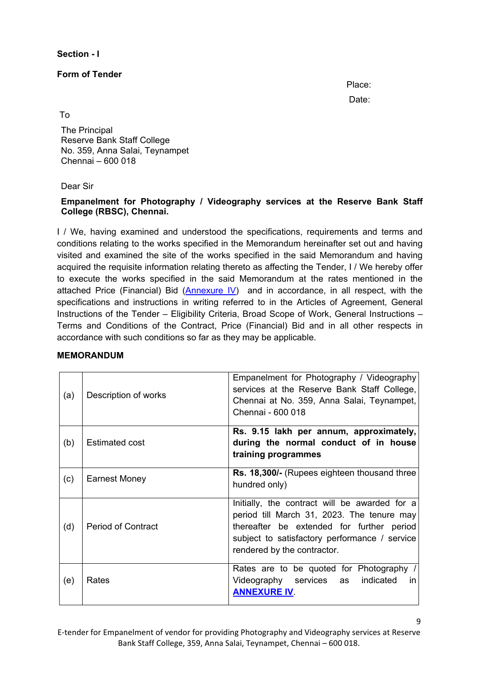**Section - I** 

**Form of Tender**

in the contract of the contract of the contract of the contract of the Place:

discussion of the contract of the contract of the contract of the Date:

9

To

The Principal Reserve Bank Staff College No. 359, Anna Salai, Teynampet Chennai – 600 018

#### Dear Sir

## **Empanelment for Photography / Videography services at the Reserve Bank Staff College (RBSC), Chennai.**

I / We, having examined and understood the specifications, requirements and terms and conditions relating to the works specified in the Memorandum hereinafter set out and having visited and examined the site of the works specified in the said Memorandum and having acquired the requisite information relating thereto as affecting the Tender, I / We hereby offer to execute the works specified in the said Memorandum at the rates mentioned in the attached Price (Financial) Bid [\(Annexure IV\)](#page-39-0) and in accordance, in all respect, with the specifications and instructions in writing referred to in the Articles of Agreement, General Instructions of the Tender – Eligibility Criteria, Broad Scope of Work, General Instructions – Terms and Conditions of the Contract, Price (Financial) Bid and in all other respects in accordance with such conditions so far as they may be applicable.

| (a) | Description of works      | Empanelment for Photography / Videography<br>services at the Reserve Bank Staff College,<br>Chennai at No. 359, Anna Salai, Teynampet,<br>Chennai - 600 018                                                              |
|-----|---------------------------|--------------------------------------------------------------------------------------------------------------------------------------------------------------------------------------------------------------------------|
| (b) | <b>Estimated cost</b>     | Rs. 9.15 lakh per annum, approximately,<br>during the normal conduct of in house<br>training programmes                                                                                                                  |
| (c) | <b>Earnest Money</b>      | Rs. 18,300/- (Rupees eighteen thousand three<br>hundred only)                                                                                                                                                            |
| (d) | <b>Period of Contract</b> | Initially, the contract will be awarded for a<br>period till March 31, 2023. The tenure may<br>thereafter be extended for further period<br>subject to satisfactory performance / service<br>rendered by the contractor. |
| (e) | Rates                     | Rates are to be quoted for Photography /<br>Videography services as<br>indicated<br><i>in</i><br><b>ANNEXURE IV.</b>                                                                                                     |

## **MEMORANDUM**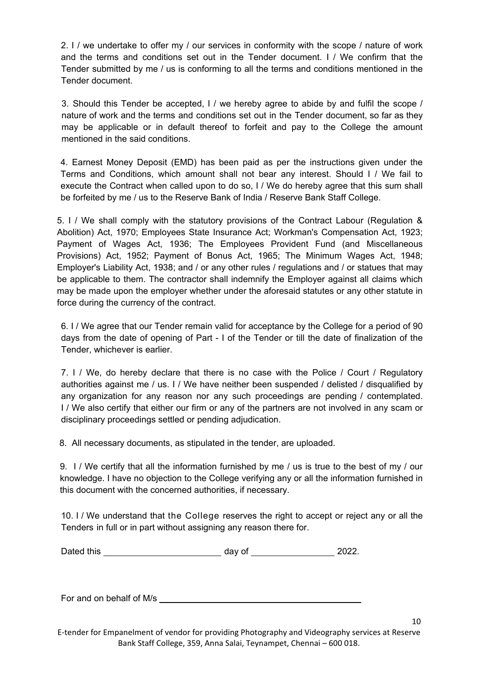2. I / we undertake to offer my / our services in conformity with the scope / nature of work and the terms and conditions set out in the Tender document. I / We confirm that the Tender submitted by me / us is conforming to all the terms and conditions mentioned in the Tender document.

3. Should this Tender be accepted, I / we hereby agree to abide by and fulfil the scope / nature of work and the terms and conditions set out in the Tender document, so far as they may be applicable or in default thereof to forfeit and pay to the College the amount mentioned in the said conditions.

4. Earnest Money Deposit (EMD) has been paid as per the instructions given under the Terms and Conditions, which amount shall not bear any interest. Should I / We fail to execute the Contract when called upon to do so, I / We do hereby agree that this sum shall be forfeited by me / us to the Reserve Bank of India / Reserve Bank Staff College.

5. I / We shall comply with the statutory provisions of the Contract Labour (Regulation & Abolition) Act, 1970; Employees State Insurance Act; Workman's Compensation Act, 1923; Payment of Wages Act, 1936; The Employees Provident Fund (and Miscellaneous Provisions) Act, 1952; Payment of Bonus Act, 1965; The Minimum Wages Act, 1948; Employer's Liability Act, 1938; and / or any other rules / regulations and / or statues that may be applicable to them. The contractor shall indemnify the Employer against all claims which may be made upon the employer whether under the aforesaid statutes or any other statute in force during the currency of the contract.

6. I / We agree that our Tender remain valid for acceptance by the College for a period of 90 days from the date of opening of Part - I of the Tender or till the date of finalization of the Tender, whichever is earlier.

7. I / We, do hereby declare that there is no case with the Police / Court / Regulatory authorities against me / us. I / We have neither been suspended / delisted / disqualified by any organization for any reason nor any such proceedings are pending / contemplated. I / We also certify that either our firm or any of the partners are not involved in any scam or disciplinary proceedings settled or pending adjudication.

8. All necessary documents, as stipulated in the tender, are uploaded.

9. I / We certify that all the information furnished by me / us is true to the best of my / our knowledge. I have no objection to the College verifying any or all the information furnished in this document with the concerned authorities, if necessary.

10. I / We understand that the College reserves the right to accept or reject any or all the Tenders in full or in part without assigning any reason there for.

| Dated this | dav of | מ∩מ<br>ZUZZ. |
|------------|--------|--------------|
|            |        |              |

For and on behalf of M/s

E-tender for Empanelment of vendor for providing Photography and Videography services at Reserve Bank Staff College, 359, Anna Salai, Teynampet, Chennai – 600 018.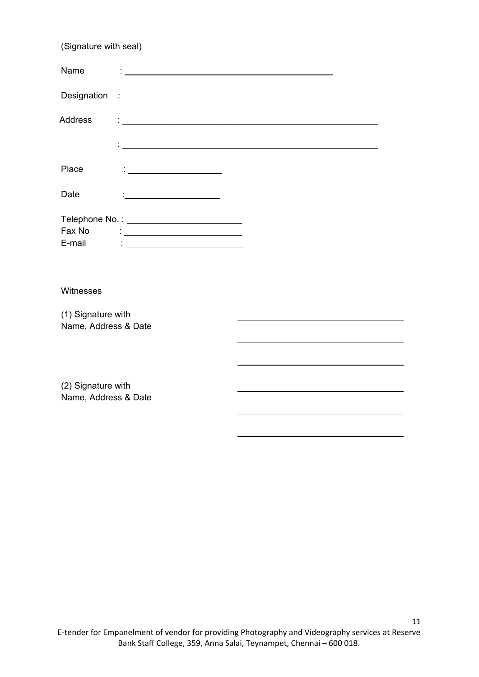| (Signature with seal) |                                                               |  |
|-----------------------|---------------------------------------------------------------|--|
| Name                  |                                                               |  |
|                       |                                                               |  |
| <b>Address</b>        |                                                               |  |
|                       | <u> 1989 - Johann Barn, fransk politik fotograf (d. 1989)</u> |  |
| Place                 |                                                               |  |
| Date                  |                                                               |  |
|                       | Telephone No. : _____________________________                 |  |
| Fax No<br>E-mail      | <u> : ______________________________</u>                      |  |
|                       |                                                               |  |
| Witnesses             |                                                               |  |
| (1) Signature with    |                                                               |  |
| Name, Address & Date  |                                                               |  |
|                       |                                                               |  |
| (2) Signature with    |                                                               |  |
| Name, Address & Date  |                                                               |  |
|                       |                                                               |  |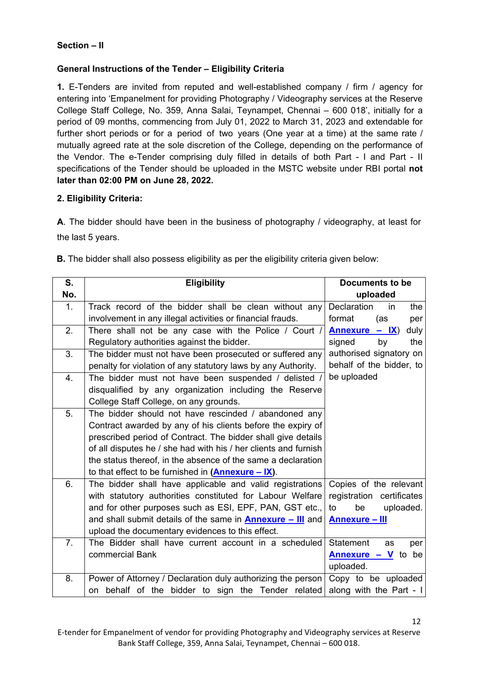## **Section – II**

## **General Instructions of the Tender – Eligibility Criteria**

**1.** E-Tenders are invited from reputed and well-established company / firm / agency for entering into 'Empanelment for providing Photography / Videography services at the Reserve College Staff College, No. 359, Anna Salai, Teynampet, Chennai – 600 018', initially for a period of 09 months, commencing from July 01, 2022 to March 31, 2023 and extendable for further short periods or for a period of two years (One year at a time) at the same rate / mutually agreed rate at the sole discretion of the College, depending on the performance of the Vendor. The e-Tender comprising duly filled in details of both Part - I and Part - II specifications of the Tender should be uploaded in the MSTC website under RBI portal **not later than 02:00 PM on June 28, 2022.** 

#### **2. Eligibility Criteria:**

**A**. The bidder should have been in the business of photography / videography, at least for the last 5 years.

**B.** The bidder shall also possess eligibility as per the eligibility criteria given below:

| S.             | <b>Eligibility</b>                                                | Documents to be               |
|----------------|-------------------------------------------------------------------|-------------------------------|
| No.            |                                                                   | uploaded                      |
| 1.             | Track record of the bidder shall be clean without any             | Declaration<br>the<br>in      |
|                | involvement in any illegal activities or financial frauds.        | format<br>(as<br>per          |
| 2.             | There shall not be any case with the Police / Court /             | Annexure $-$ IX)<br>duly      |
|                | Regulatory authorities against the bidder.                        | signed<br>by<br>the           |
| 3.             | The bidder must not have been prosecuted or suffered any          | authorised signatory on       |
|                | penalty for violation of any statutory laws by any Authority.     | behalf of the bidder, to      |
| 4.             | The bidder must not have been suspended / delisted /              | be uploaded                   |
|                | disqualified by any organization including the Reserve            |                               |
|                | College Staff College, on any grounds.                            |                               |
| 5.             | The bidder should not have rescinded / abandoned any              |                               |
|                | Contract awarded by any of his clients before the expiry of       |                               |
|                | prescribed period of Contract. The bidder shall give details      |                               |
|                | of all disputes he / she had with his / her clients and furnish   |                               |
|                | the status thereof, in the absence of the same a declaration      |                               |
|                | to that effect to be furnished in $(Annexure - IX)$ .             |                               |
| 6.             | The bidder shall have applicable and valid registrations          | Copies of the relevant        |
|                | with statutory authorities constituted for Labour Welfare         | registration certificates     |
|                | and for other purposes such as ESI, EPF, PAN, GST etc.,           | uploaded.<br>to<br>be         |
|                | and shall submit details of the same in <b>Annexure - III</b> and | <b>Annexure - III</b>         |
|                | upload the documentary evidences to this effect.                  |                               |
| 7 <sub>1</sub> | The Bidder shall have current account in a scheduled              | <b>Statement</b><br>as<br>per |
|                | commercial Bank                                                   | <b>Annexure – V</b> to be     |
|                |                                                                   | uploaded.                     |
| 8.             | Power of Attorney / Declaration duly authorizing the person       | Copy to be uploaded           |
|                | on behalf of the bidder to sign the Tender related                | along with the Part - I       |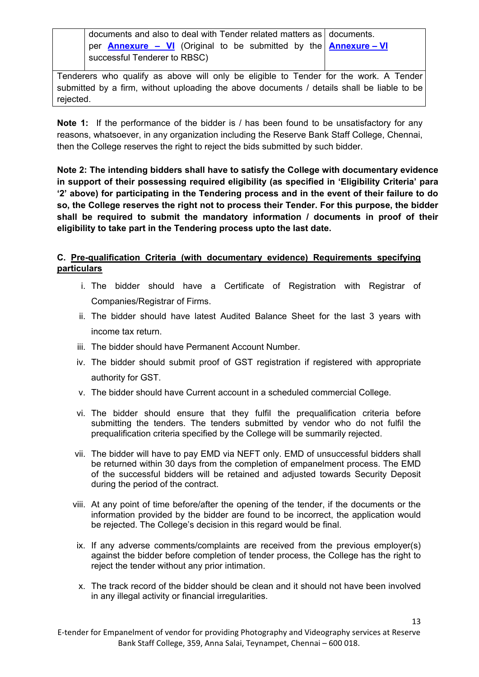documents and also to deal with Tender related matters as documents. per **[Annexure – VI](#page-41-0)** (Original to be submitted by the **[Annexure – VI](#page-41-0)** successful Tenderer to RBSC)

Tenderers who qualify as above will only be eligible to Tender for the work. A Tender submitted by a firm, without uploading the above documents / details shall be liable to be rejected.

**Note 1:** If the performance of the bidder is / has been found to be unsatisfactory for any reasons, whatsoever, in any organization including the Reserve Bank Staff College, Chennai, then the College reserves the right to reject the bids submitted by such bidder.

**Note 2: The intending bidders shall have to satisfy the College with documentary evidence in support of their possessing required eligibility (as specified in 'Eligibility Criteria' para '2' above) for participating in the Tendering process and in the event of their failure to do so, the College reserves the right not to process their Tender. For this purpose, the bidder shall be required to submit the mandatory information / documents in proof of their eligibility to take part in the Tendering process upto the last date.**

## **C. Pre-qualification Criteria (with documentary evidence) Requirements specifying particulars**

- i. The bidder should have a Certificate of Registration with Registrar of Companies/Registrar of Firms.
- ii. The bidder should have latest Audited Balance Sheet for the last 3 years with income tax return.
- iii. The bidder should have Permanent Account Number.
- iv. The bidder should submit proof of GST registration if registered with appropriate authority for GST.
- v. The bidder should have Current account in a scheduled commercial College.
- vi. The bidder should ensure that they fulfil the prequalification criteria before submitting the tenders. The tenders submitted by vendor who do not fulfil the prequalification criteria specified by the College will be summarily rejected.
- vii. The bidder will have to pay EMD via NEFT only. EMD of unsuccessful bidders shall be returned within 30 days from the completion of empanelment process. The EMD of the successful bidders will be retained and adjusted towards Security Deposit during the period of the contract.
- viii. At any point of time before/after the opening of the tender, if the documents or the information provided by the bidder are found to be incorrect, the application would be rejected. The College's decision in this regard would be final.
- ix. If any adverse comments/complaints are received from the previous employer(s) against the bidder before completion of tender process, the College has the right to reject the tender without any prior intimation.
- x. The track record of the bidder should be clean and it should not have been involved in any illegal activity or financial irregularities.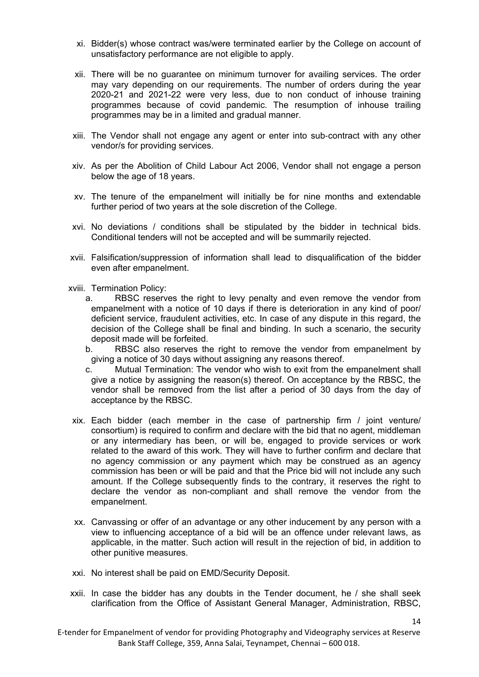- xi. Bidder(s) whose contract was/were terminated earlier by the College on account of unsatisfactory performance are not eligible to apply.
- xii. There will be no guarantee on minimum turnover for availing services. The order may vary depending on our requirements. The number of orders during the year 2020-21 and 2021-22 were very less, due to non conduct of inhouse training programmes because of covid pandemic. The resumption of inhouse trailing programmes may be in a limited and gradual manner.
- xiii. The Vendor shall not engage any agent or enter into sub‐contract with any other vendor/s for providing services.
- xiv. As per the Abolition of Child Labour Act 2006, Vendor shall not engage a person below the age of 18 years.
- xv. The tenure of the empanelment will initially be for nine months and extendable further period of two years at the sole discretion of the College.
- xvi. No deviations / conditions shall be stipulated by the bidder in technical bids. Conditional tenders will not be accepted and will be summarily rejected.
- xvii. Falsification/suppression of information shall lead to disqualification of the bidder even after empanelment.
- xviii. Termination Policy:
	- a. RBSC reserves the right to levy penalty and even remove the vendor from empanelment with a notice of 10 days if there is deterioration in any kind of poor/ deficient service, fraudulent activities, etc. In case of any dispute in this regard, the decision of the College shall be final and binding. In such a scenario, the security deposit made will be forfeited.
	- b. RBSC also reserves the right to remove the vendor from empanelment by giving a notice of 30 days without assigning any reasons thereof.
	- c. Mutual Termination: The vendor who wish to exit from the empanelment shall give a notice by assigning the reason(s) thereof. On acceptance by the RBSC, the vendor shall be removed from the list after a period of 30 days from the day of acceptance by the RBSC.
- xix. Each bidder (each member in the case of partnership firm / joint venture/ consortium) is required to confirm and declare with the bid that no agent, middleman or any intermediary has been, or will be, engaged to provide services or work related to the award of this work. They will have to further confirm and declare that no agency commission or any payment which may be construed as an agency commission has been or will be paid and that the Price bid will not include any such amount. If the College subsequently finds to the contrary, it reserves the right to declare the vendor as non-compliant and shall remove the vendor from the empanelment.
- xx. Canvassing or offer of an advantage or any other inducement by any person with a view to influencing acceptance of a bid will be an offence under relevant laws, as applicable, in the matter. Such action will result in the rejection of bid, in addition to other punitive measures.
- xxi. No interest shall be paid on EMD/Security Deposit.
- xxii. In case the bidder has any doubts in the Tender document, he / she shall seek clarification from the Office of Assistant General Manager, Administration, RBSC,

E-tender for Empanelment of vendor for providing Photography and Videography services at Reserve Bank Staff College, 359, Anna Salai, Teynampet, Chennai – 600 018.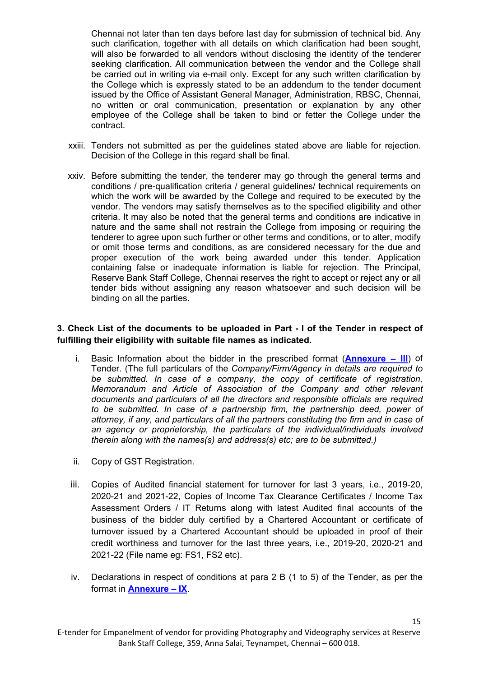Chennai not later than ten days before last day for submission of technical bid. Any such clarification, together with all details on which clarification had been sought, will also be forwarded to all vendors without disclosing the identity of the tenderer seeking clarification. All communication between the vendor and the College shall be carried out in writing via e-mail only. Except for any such written clarification by the College which is expressly stated to be an addendum to the tender document issued by the Office of Assistant General Manager, Administration, RBSC, Chennai, no written or oral communication, presentation or explanation by any other employee of the College shall be taken to bind or fetter the College under the contract.

- xxiii. Tenders not submitted as per the guidelines stated above are liable for rejection. Decision of the College in this regard shall be final.
- xxiv. Before submitting the tender, the tenderer may go through the general terms and conditions / pre-qualification criteria / general guidelines/ technical requirements on which the work will be awarded by the College and required to be executed by the vendor. The vendors may satisfy themselves as to the specified eligibility and other criteria. It may also be noted that the general terms and conditions are indicative in nature and the same shall not restrain the College from imposing or requiring the tenderer to agree upon such further or other terms and conditions, or to alter, modify or omit those terms and conditions, as are considered necessary for the due and proper execution of the work being awarded under this tender. Application containing false or inadequate information is liable for rejection. The Principal, Reserve Bank Staff College, Chennai reserves the right to accept or reject any or all tender bids without assigning any reason whatsoever and such decision will be binding on all the parties.

#### **3. Check List of the documents to be uploaded in Part - I of the Tender in respect of fulfilling their eligibility with suitable file names as indicated.**

- i. Basic Information about the bidder in the prescribed format (**[Annexure III](#page-36-0)**) of Tender. (The full particulars of the *Company/Firm/Agency in details are required to be submitted. In case of a company, the copy of certificate of registration, Memorandum and Article of Association of the Company and other relevant documents and particulars of all the directors and responsible officials are required to be submitted. In case of a partnership firm, the partnership deed, power of attorney, if any, and particulars of all the partners constituting the firm and in case of an agency or proprietorship, the particulars of the individual/individuals involved therein along with the names(s) and address(s) etc; are to be submitted.)*
- ii. Copy of GST Registration.
- iii. Copies of Audited financial statement for turnover for last 3 years, i.e., 2019-20, 2020-21 and 2021-22, Copies of Income Tax Clearance Certificates / Income Tax Assessment Orders / IT Returns along with latest Audited final accounts of the business of the bidder duly certified by a Chartered Accountant or certificate of turnover issued by a Chartered Accountant should be uploaded in proof of their credit worthiness and turnover for the last three years, i.e., 2019-20, 2020-21 and 2021-22 (File name eg: FS1, FS2 etc).
- iv. Declarations in respect of conditions at para 2 B (1 to 5) of the Tender, as per the format in **[Annexure – IX](#page-44-0)**.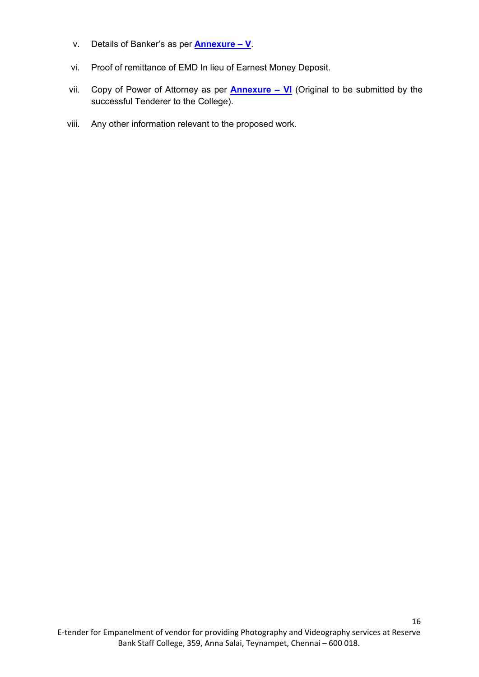- v. Details of Banker's as per **[Annexure V](#page-40-0)**.
- vi. Proof of remittance of EMD In lieu of Earnest Money Deposit.
- vii. Copy of Power of Attorney as per **[Annexure VI](#page-41-0)** (Original to be submitted by the successful Tenderer to the College).
- viii. Any other information relevant to the proposed work.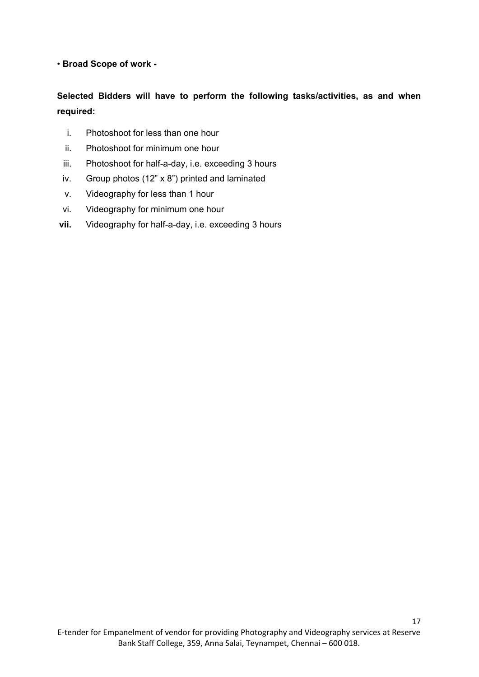## • **Broad Scope of work -**

## **Selected Bidders will have to perform the following tasks/activities, as and when required:**

- i. Photoshoot for less than one hour
- ii. Photoshoot for minimum one hour
- iii. Photoshoot for half-a-day, i.e. exceeding 3 hours
- iv. Group photos (12" x 8") printed and laminated
- v. Videography for less than 1 hour
- vi. Videography for minimum one hour
- **vii.** Videography for half-a-day, i.e. exceeding 3 hours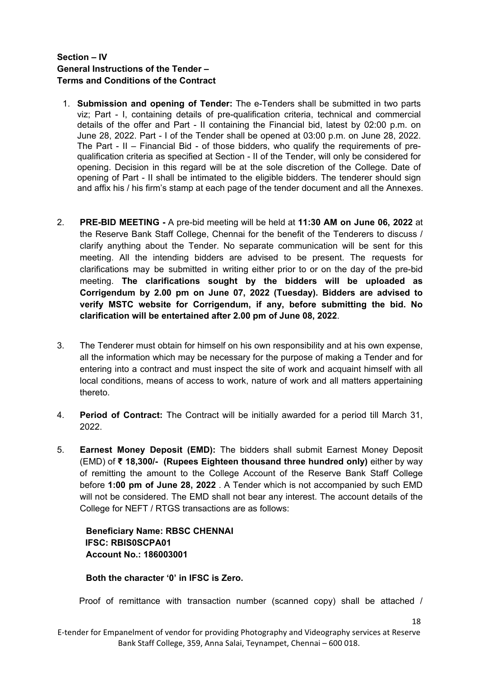## **Section – IV General Instructions of the Tender – Terms and Conditions of the Contract**

- 1. **Submission and opening of Tender:** The e-Tenders shall be submitted in two parts viz; Part - I, containing details of pre-qualification criteria, technical and commercial details of the offer and Part - II containing the Financial bid, latest by 02:00 p.m. on June 28, 2022. Part - I of the Tender shall be opened at 03:00 p.m. on June 28, 2022. The Part - II – Financial Bid - of those bidders, who qualify the requirements of prequalification criteria as specified at Section - II of the Tender, will only be considered for opening. Decision in this regard will be at the sole discretion of the College. Date of opening of Part - II shall be intimated to the eligible bidders. The tenderer should sign and affix his / his firm's stamp at each page of the tender document and all the Annexes.
- 2. **PRE-BID MEETING -** A pre-bid meeting will be held at **11:30 AM on June 06, 2022** at the Reserve Bank Staff College, Chennai for the benefit of the Tenderers to discuss / clarify anything about the Tender. No separate communication will be sent for this meeting. All the intending bidders are advised to be present. The requests for clarifications may be submitted in writing either prior to or on the day of the pre-bid meeting. **The clarifications sought by the bidders will be uploaded as Corrigendum by 2.00 pm on June 07, 2022 (Tuesday). Bidders are advised to verify MSTC website for Corrigendum, if any, before submitting the bid. No clarification will be entertained after 2.00 pm of June 08, 2022**.
- 3. The Tenderer must obtain for himself on his own responsibility and at his own expense, all the information which may be necessary for the purpose of making a Tender and for entering into a contract and must inspect the site of work and acquaint himself with all local conditions, means of access to work, nature of work and all matters appertaining thereto.
- 4. **Period of Contract:** The Contract will be initially awarded for a period till March 31, 2022.
- 5. **Earnest Money Deposit (EMD):** The bidders shall submit Earnest Money Deposit (EMD) of **₹ 18,300/- (Rupees Eighteen thousand three hundred only)** either by way of remitting the amount to the College Account of the Reserve Bank Staff College before **1:00 pm of June 28, 2022** . A Tender which is not accompanied by such EMD will not be considered. The EMD shall not bear any interest. The account details of the College for NEFT / RTGS transactions are as follows:

**Beneficiary Name: RBSC CHENNAI IFSC: RBIS0SCPA01 Account No.: 186003001**

**Both the character '0' in IFSC is Zero.**

Proof of remittance with transaction number (scanned copy) shall be attached /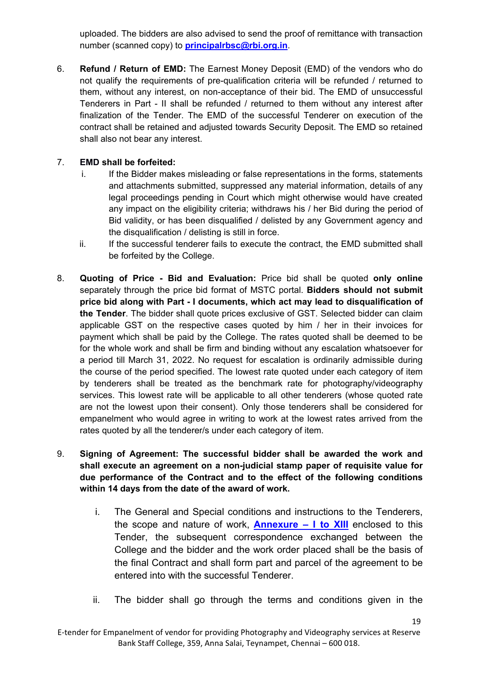uploaded. The bidders are also advised to send the proof of remittance with transaction number (scanned copy) to **[principalrbsc@rbi.org.in](mailto:principalrbsc@rbi.org.in)**.

6. **Refund / Return of EMD:** The Earnest Money Deposit (EMD) of the vendors who do not qualify the requirements of pre-qualification criteria will be refunded / returned to them, without any interest, on non-acceptance of their bid. The EMD of unsuccessful Tenderers in Part - II shall be refunded / returned to them without any interest after finalization of the Tender. The EMD of the successful Tenderer on execution of the contract shall be retained and adjusted towards Security Deposit. The EMD so retained shall also not bear any interest.

## 7. **EMD shall be forfeited:**

- i. If the Bidder makes misleading or false representations in the forms, statements and attachments submitted, suppressed any material information, details of any legal proceedings pending in Court which might otherwise would have created any impact on the eligibility criteria; withdraws his / her Bid during the period of Bid validity, or has been disqualified / delisted by any Government agency and the disqualification / delisting is still in force.
- ii. If the successful tenderer fails to execute the contract, the EMD submitted shall be forfeited by the College.
- 8. **Quoting of Price Bid and Evaluation:** Price bid shall be quoted **only online** separately through the price bid format of MSTC portal. **Bidders should not submit price bid along with Part - I documents, which act may lead to disqualification of the Tender**. The bidder shall quote prices exclusive of GST. Selected bidder can claim applicable GST on the respective cases quoted by him / her in their invoices for payment which shall be paid by the College. The rates quoted shall be deemed to be for the whole work and shall be firm and binding without any escalation whatsoever for a period till March 31, 2022. No request for escalation is ordinarily admissible during the course of the period specified. The lowest rate quoted under each category of item by tenderers shall be treated as the benchmark rate for photography/videography services. This lowest rate will be applicable to all other tenderers (whose quoted rate are not the lowest upon their consent). Only those tenderers shall be considered for empanelment who would agree in writing to work at the lowest rates arrived from the rates quoted by all the tenderer/s under each category of item.
- 9. **Signing of Agreement: The successful bidder shall be awarded the work and shall execute an agreement on a non-judicial stamp paper of requisite value for due performance of the Contract and to the effect of the following conditions within 14 days from the date of the award of work.**
	- i. The General and Special conditions and instructions to the Tenderers, the scope and nature of work, **[Annexure – I to XIII](#page-28-0)** enclosed to this Tender, the subsequent correspondence exchanged between the College and the bidder and the work order placed shall be the basis of the final Contract and shall form part and parcel of the agreement to be entered into with the successful Tenderer.
	- ii. The bidder shall go through the terms and conditions given in the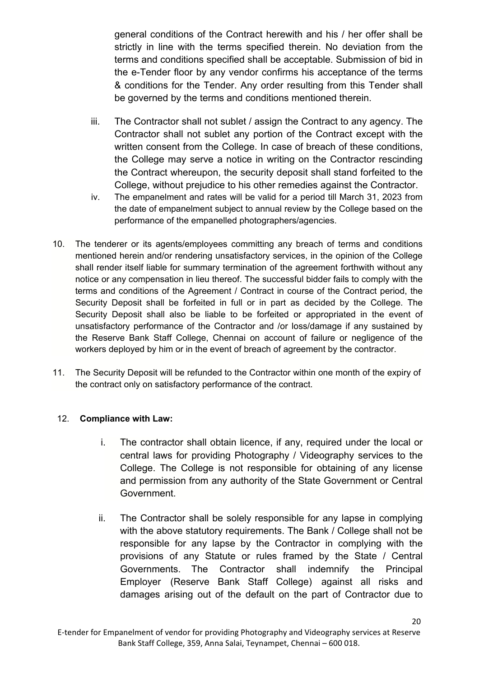general conditions of the Contract herewith and his / her offer shall be strictly in line with the terms specified therein. No deviation from the terms and conditions specified shall be acceptable. Submission of bid in the e-Tender floor by any vendor confirms his acceptance of the terms & conditions for the Tender. Any order resulting from this Tender shall be governed by the terms and conditions mentioned therein.

- iii. The Contractor shall not sublet / assign the Contract to any agency. The Contractor shall not sublet any portion of the Contract except with the written consent from the College. In case of breach of these conditions, the College may serve a notice in writing on the Contractor rescinding the Contract whereupon, the security deposit shall stand forfeited to the College, without prejudice to his other remedies against the Contractor.
- iv. The empanelment and rates will be valid for a period till March 31, 2023 from the date of empanelment subject to annual review by the College based on the performance of the empanelled photographers/agencies.
- 10. The tenderer or its agents/employees committing any breach of terms and conditions mentioned herein and/or rendering unsatisfactory services, in the opinion of the College shall render itself liable for summary termination of the agreement forthwith without any notice or any compensation in lieu thereof. The successful bidder fails to comply with the terms and conditions of the Agreement / Contract in course of the Contract period, the Security Deposit shall be forfeited in full or in part as decided by the College. The Security Deposit shall also be liable to be forfeited or appropriated in the event of unsatisfactory performance of the Contractor and /or loss/damage if any sustained by the Reserve Bank Staff College, Chennai on account of failure or negligence of the workers deployed by him or in the event of breach of agreement by the contractor.
- 11. The Security Deposit will be refunded to the Contractor within one month of the expiry of the contract only on satisfactory performance of the contract.

## 12. **Compliance with Law:**

- i. The contractor shall obtain licence, if any, required under the local or central laws for providing Photography / Videography services to the College. The College is not responsible for obtaining of any license and permission from any authority of the State Government or Central Government.
- ii. The Contractor shall be solely responsible for any lapse in complying with the above statutory requirements. The Bank / College shall not be responsible for any lapse by the Contractor in complying with the provisions of any Statute or rules framed by the State / Central Governments. The Contractor shall indemnify the Principal Employer (Reserve Bank Staff College) against all risks and damages arising out of the default on the part of Contractor due to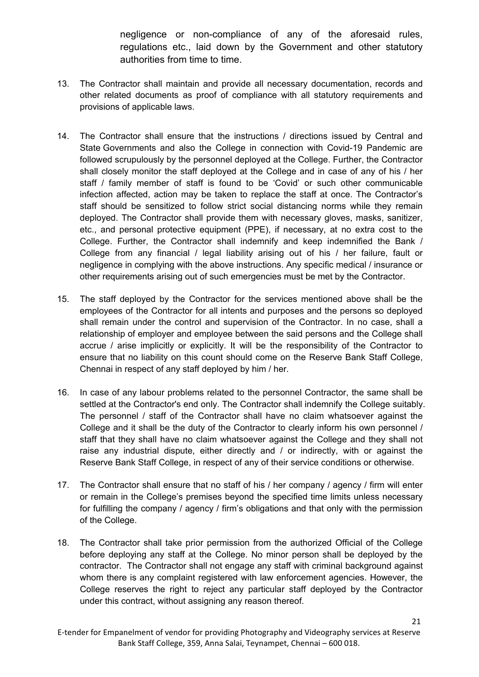negligence or non-compliance of any of the aforesaid rules, regulations etc., laid down by the Government and other statutory authorities from time to time.

- 13. The Contractor shall maintain and provide all necessary documentation, records and other related documents as proof of compliance with all statutory requirements and provisions of applicable laws.
- 14. The Contractor shall ensure that the instructions / directions issued by Central and State Governments and also the College in connection with Covid-19 Pandemic are followed scrupulously by the personnel deployed at the College. Further, the Contractor shall closely monitor the staff deployed at the College and in case of any of his / her staff / family member of staff is found to be 'Covid' or such other communicable infection affected, action may be taken to replace the staff at once. The Contractor's staff should be sensitized to follow strict social distancing norms while they remain deployed. The Contractor shall provide them with necessary gloves, masks, sanitizer, etc., and personal protective equipment (PPE), if necessary, at no extra cost to the College. Further, the Contractor shall indemnify and keep indemnified the Bank / College from any financial / legal liability arising out of his / her failure, fault or negligence in complying with the above instructions. Any specific medical / insurance or other requirements arising out of such emergencies must be met by the Contractor.
- 15. The staff deployed by the Contractor for the services mentioned above shall be the employees of the Contractor for all intents and purposes and the persons so deployed shall remain under the control and supervision of the Contractor. In no case, shall a relationship of employer and employee between the said persons and the College shall accrue / arise implicitly or explicitly. It will be the responsibility of the Contractor to ensure that no liability on this count should come on the Reserve Bank Staff College, Chennai in respect of any staff deployed by him / her.
- 16. In case of any labour problems related to the personnel Contractor, the same shall be settled at the Contractor's end only. The Contractor shall indemnify the College suitably. The personnel / staff of the Contractor shall have no claim whatsoever against the College and it shall be the duty of the Contractor to clearly inform his own personnel / staff that they shall have no claim whatsoever against the College and they shall not raise any industrial dispute, either directly and / or indirectly, with or against the Reserve Bank Staff College, in respect of any of their service conditions or otherwise.
- 17. The Contractor shall ensure that no staff of his / her company / agency / firm will enter or remain in the College's premises beyond the specified time limits unless necessary for fulfilling the company / agency / firm's obligations and that only with the permission of the College.
- 18. The Contractor shall take prior permission from the authorized Official of the College before deploying any staff at the College. No minor person shall be deployed by the contractor. The Contractor shall not engage any staff with criminal background against whom there is any complaint registered with law enforcement agencies. However, the College reserves the right to reject any particular staff deployed by the Contractor under this contract, without assigning any reason thereof.

E-tender for Empanelment of vendor for providing Photography and Videography services at Reserve Bank Staff College, 359, Anna Salai, Teynampet, Chennai – 600 018.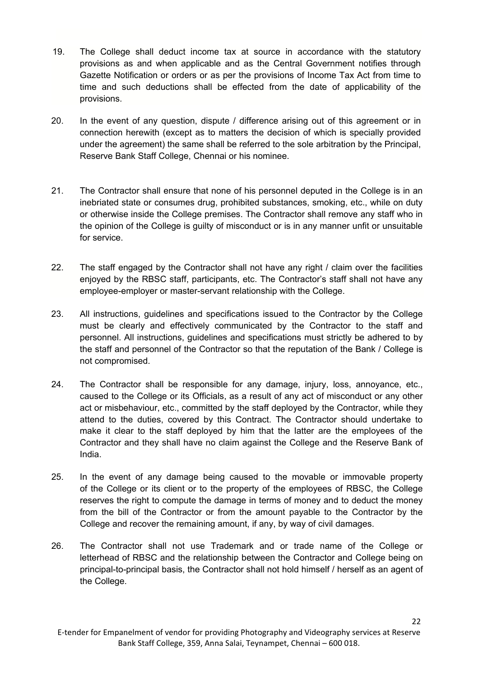- 19. The College shall deduct income tax at source in accordance with the statutory provisions as and when applicable and as the Central Government notifies through Gazette Notification or orders or as per the provisions of Income Tax Act from time to time and such deductions shall be effected from the date of applicability of the provisions.
- 20. In the event of any question, dispute / difference arising out of this agreement or in connection herewith (except as to matters the decision of which is specially provided under the agreement) the same shall be referred to the sole arbitration by the Principal, Reserve Bank Staff College, Chennai or his nominee.
- 21. The Contractor shall ensure that none of his personnel deputed in the College is in an inebriated state or consumes drug, prohibited substances, smoking, etc., while on duty or otherwise inside the College premises. The Contractor shall remove any staff who in the opinion of the College is guilty of misconduct or is in any manner unfit or unsuitable for service.
- 22. The staff engaged by the Contractor shall not have any right / claim over the facilities enjoyed by the RBSC staff, participants, etc. The Contractor's staff shall not have any employee-employer or master-servant relationship with the College.
- 23. All instructions, guidelines and specifications issued to the Contractor by the College must be clearly and effectively communicated by the Contractor to the staff and personnel. All instructions, guidelines and specifications must strictly be adhered to by the staff and personnel of the Contractor so that the reputation of the Bank / College is not compromised.
- 24. The Contractor shall be responsible for any damage, injury, loss, annoyance, etc., caused to the College or its Officials, as a result of any act of misconduct or any other act or misbehaviour, etc., committed by the staff deployed by the Contractor, while they attend to the duties, covered by this Contract. The Contractor should undertake to make it clear to the staff deployed by him that the latter are the employees of the Contractor and they shall have no claim against the College and the Reserve Bank of India.
- 25. In the event of any damage being caused to the movable or immovable property of the College or its client or to the property of the employees of RBSC, the College reserves the right to compute the damage in terms of money and to deduct the money from the bill of the Contractor or from the amount payable to the Contractor by the College and recover the remaining amount, if any, by way of civil damages.
- 26. The Contractor shall not use Trademark and or trade name of the College or letterhead of RBSC and the relationship between the Contractor and College being on principal-to-principal basis, the Contractor shall not hold himself / herself as an agent of the College.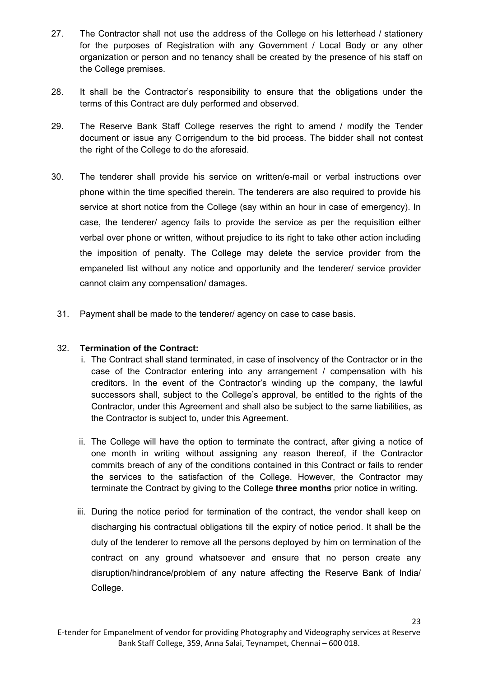- 27. The Contractor shall not use the address of the College on his letterhead / stationery for the purposes of Registration with any Government / Local Body or any other organization or person and no tenancy shall be created by the presence of his staff on the College premises.
- 28. It shall be the Contractor's responsibility to ensure that the obligations under the terms of this Contract are duly performed and observed.
- 29. The Reserve Bank Staff College reserves the right to amend / modify the Tender document or issue any Corrigendum to the bid process. The bidder shall not contest the right of the College to do the aforesaid.
- 30. The tenderer shall provide his service on written/e-mail or verbal instructions over phone within the time specified therein. The tenderers are also required to provide his service at short notice from the College (say within an hour in case of emergency). In case, the tenderer/ agency fails to provide the service as per the requisition either verbal over phone or written, without prejudice to its right to take other action including the imposition of penalty. The College may delete the service provider from the empaneled list without any notice and opportunity and the tenderer/ service provider cannot claim any compensation/ damages.
	- 31. Payment shall be made to the tenderer/ agency on case to case basis.

#### 32. **Termination of the Contract:**

- i. The Contract shall stand terminated, in case of insolvency of the Contractor or in the case of the Contractor entering into any arrangement / compensation with his creditors. In the event of the Contractor's winding up the company, the lawful successors shall, subject to the College's approval, be entitled to the rights of the Contractor, under this Agreement and shall also be subject to the same liabilities, as the Contractor is subject to, under this Agreement.
- ii. The College will have the option to terminate the contract, after giving a notice of one month in writing without assigning any reason thereof, if the Contractor commits breach of any of the conditions contained in this Contract or fails to render the services to the satisfaction of the College. However, the Contractor may terminate the Contract by giving to the College **three months** prior notice in writing.
- iii. During the notice period for termination of the contract, the vendor shall keep on discharging his contractual obligations till the expiry of notice period. It shall be the duty of the tenderer to remove all the persons deployed by him on termination of the contract on any ground whatsoever and ensure that no person create any disruption/hindrance/problem of any nature affecting the Reserve Bank of India/ College.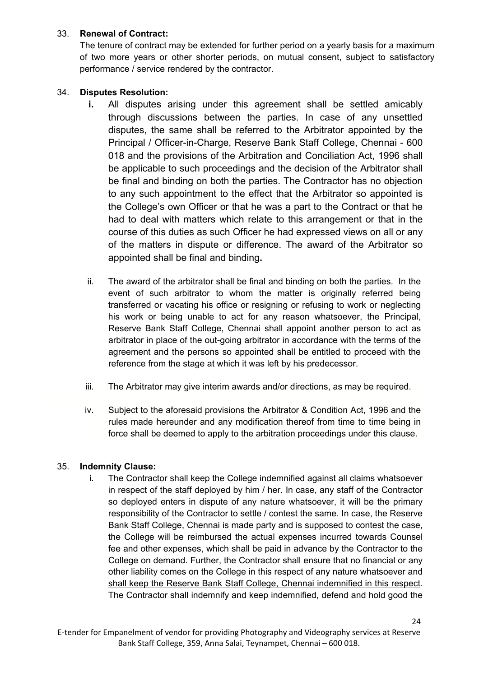## 33. **Renewal of Contract:**

The tenure of contract may be extended for further period on a yearly basis for a maximum of two more years or other shorter periods, on mutual consent, subject to satisfactory performance / service rendered by the contractor.

## 34. **Disputes Resolution:**

- **i.** All disputes arising under this agreement shall be settled amicably through discussions between the parties. In case of any unsettled disputes, the same shall be referred to the Arbitrator appointed by the Principal / Officer-in-Charge, Reserve Bank Staff College, Chennai - 600 018 and the provisions of the Arbitration and Conciliation Act, 1996 shall be applicable to such proceedings and the decision of the Arbitrator shall be final and binding on both the parties. The Contractor has no objection to any such appointment to the effect that the Arbitrator so appointed is the College's own Officer or that he was a part to the Contract or that he had to deal with matters which relate to this arrangement or that in the course of this duties as such Officer he had expressed views on all or any of the matters in dispute or difference. The award of the Arbitrator so appointed shall be final and binding**.**
- ii. The award of the arbitrator shall be final and binding on both the parties. In the event of such arbitrator to whom the matter is originally referred being transferred or vacating his office or resigning or refusing to work or neglecting his work or being unable to act for any reason whatsoever, the Principal, Reserve Bank Staff College, Chennai shall appoint another person to act as arbitrator in place of the out-going arbitrator in accordance with the terms of the agreement and the persons so appointed shall be entitled to proceed with the reference from the stage at which it was left by his predecessor.
- iii. The Arbitrator may give interim awards and/or directions, as may be required.
- iv. Subject to the aforesaid provisions the Arbitrator & Condition Act, 1996 and the rules made hereunder and any modification thereof from time to time being in force shall be deemed to apply to the arbitration proceedings under this clause.

## 35. **Indemnity Clause:**

i. The Contractor shall keep the College indemnified against all claims whatsoever in respect of the staff deployed by him / her. In case, any staff of the Contractor so deployed enters in dispute of any nature whatsoever, it will be the primary responsibility of the Contractor to settle / contest the same. In case, the Reserve Bank Staff College, Chennai is made party and is supposed to contest the case, the College will be reimbursed the actual expenses incurred towards Counsel fee and other expenses, which shall be paid in advance by the Contractor to the College on demand. Further, the Contractor shall ensure that no financial or any other liability comes on the College in this respect of any nature whatsoever and shall keep the Reserve Bank Staff College, Chennai indemnified in this respect. The Contractor shall indemnify and keep indemnified, defend and hold good the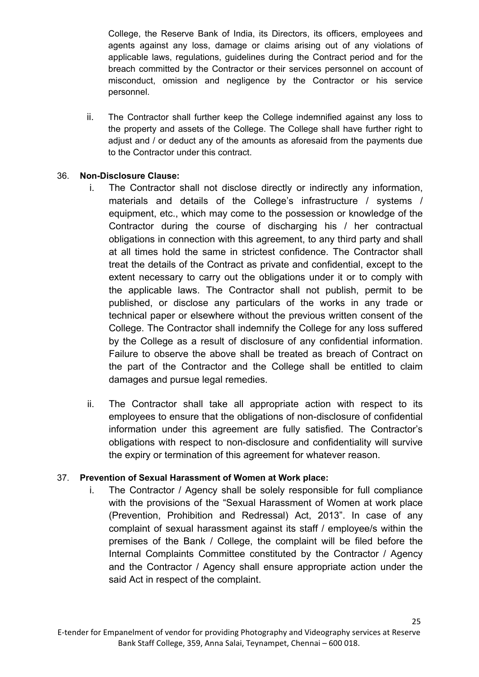College, the Reserve Bank of India, its Directors, its officers, employees and agents against any loss, damage or claims arising out of any violations of applicable laws, regulations, guidelines during the Contract period and for the breach committed by the Contractor or their services personnel on account of misconduct, omission and negligence by the Contractor or his service personnel.

ii. The Contractor shall further keep the College indemnified against any loss to the property and assets of the College. The College shall have further right to adjust and / or deduct any of the amounts as aforesaid from the payments due to the Contractor under this contract.

## 36. **Non-Disclosure Clause:**

- i. The Contractor shall not disclose directly or indirectly any information, materials and details of the College's infrastructure / systems / equipment, etc., which may come to the possession or knowledge of the Contractor during the course of discharging his / her contractual obligations in connection with this agreement, to any third party and shall at all times hold the same in strictest confidence. The Contractor shall treat the details of the Contract as private and confidential, except to the extent necessary to carry out the obligations under it or to comply with the applicable laws. The Contractor shall not publish, permit to be published, or disclose any particulars of the works in any trade or technical paper or elsewhere without the previous written consent of the College. The Contractor shall indemnify the College for any loss suffered by the College as a result of disclosure of any confidential information. Failure to observe the above shall be treated as breach of Contract on the part of the Contractor and the College shall be entitled to claim damages and pursue legal remedies.
- ii. The Contractor shall take all appropriate action with respect to its employees to ensure that the obligations of non-disclosure of confidential information under this agreement are fully satisfied. The Contractor's obligations with respect to non-disclosure and confidentiality will survive the expiry or termination of this agreement for whatever reason.

## 37. **Prevention of Sexual Harassment of Women at Work place:**

i. The Contractor / Agency shall be solely responsible for full compliance with the provisions of the "Sexual Harassment of Women at work place (Prevention, Prohibition and Redressal) Act, 2013". In case of any complaint of sexual harassment against its staff / employee/s within the premises of the Bank / College, the complaint will be filed before the Internal Complaints Committee constituted by the Contractor / Agency and the Contractor / Agency shall ensure appropriate action under the said Act in respect of the complaint.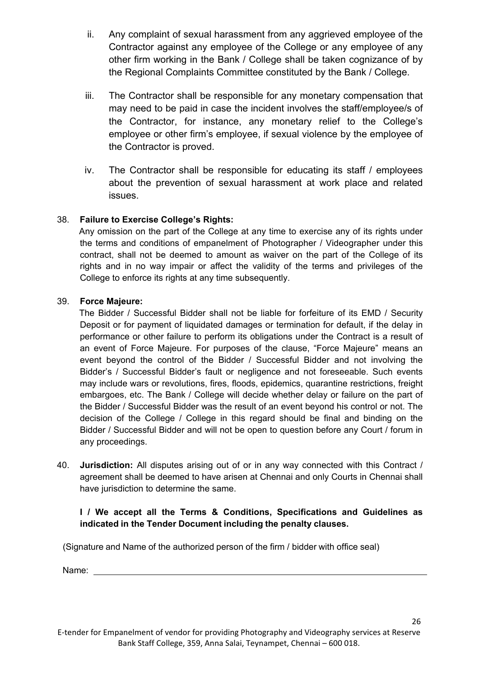- ii. Any complaint of sexual harassment from any aggrieved employee of the Contractor against any employee of the College or any employee of any other firm working in the Bank / College shall be taken cognizance of by the Regional Complaints Committee constituted by the Bank / College.
- iii. The Contractor shall be responsible for any monetary compensation that may need to be paid in case the incident involves the staff/employee/s of the Contractor, for instance, any monetary relief to the College's employee or other firm's employee, if sexual violence by the employee of the Contractor is proved.
- iv. The Contractor shall be responsible for educating its staff / employees about the prevention of sexual harassment at work place and related issues.

## 38. **Failure to Exercise College's Rights:**

 Any omission on the part of the College at any time to exercise any of its rights under the terms and conditions of empanelment of Photographer / Videographer under this contract, shall not be deemed to amount as waiver on the part of the College of its rights and in no way impair or affect the validity of the terms and privileges of the College to enforce its rights at any time subsequently.

## 39. **Force Majeure:**

 The Bidder / Successful Bidder shall not be liable for forfeiture of its EMD / Security Deposit or for payment of liquidated damages or termination for default, if the delay in performance or other failure to perform its obligations under the Contract is a result of an event of Force Majeure. For purposes of the clause, "Force Majeure" means an event beyond the control of the Bidder / Successful Bidder and not involving the Bidder's / Successful Bidder's fault or negligence and not foreseeable. Such events may include wars or revolutions, fires, floods, epidemics, quarantine restrictions, freight embargoes, etc. The Bank / College will decide whether delay or failure on the part of the Bidder / Successful Bidder was the result of an event beyond his control or not. The decision of the College / College in this regard should be final and binding on the Bidder / Successful Bidder and will not be open to question before any Court / forum in any proceedings.

40. **Jurisdiction:** All disputes arising out of or in any way connected with this Contract / agreement shall be deemed to have arisen at Chennai and only Courts in Chennai shall have jurisdiction to determine the same.

## **I / We accept all the Terms & Conditions, Specifications and Guidelines as indicated in the Tender Document including the penalty clauses.**

(Signature and Name of the authorized person of the firm / bidder with office seal)

Name: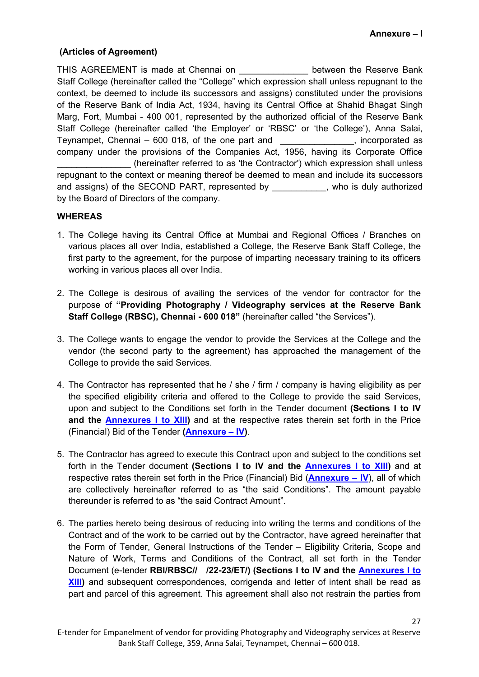#### <span id="page-28-0"></span>**(Articles of Agreement)**

THIS AGREEMENT is made at Chennai on THIS between the Reserve Bank Staff College (hereinafter called the "College" which expression shall unless repugnant to the context, be deemed to include its successors and assigns) constituted under the provisions of the Reserve Bank of India Act, 1934, having its Central Office at Shahid Bhagat Singh Marg, Fort, Mumbai - 400 001, represented by the authorized official of the Reserve Bank Staff College (hereinafter called 'the Employer' or 'RBSC' or 'the College'), Anna Salai, Teynampet, Chennai – 600 018, of the one part and \_\_\_\_\_\_\_\_\_\_\_\_\_\_\_, incorporated as company under the provisions of the Companies Act, 1956, having its Corporate Office \_\_\_\_\_\_\_\_\_\_\_\_\_\_\_ (hereinafter referred to as 'the Contractor') which expression shall unless repugnant to the context or meaning thereof be deemed to mean and include its successors and assigns) of the SECOND PART, represented by \_\_\_\_\_\_\_\_\_\_\_, who is duly authorized by the Board of Directors of the company.

#### **WHEREAS**

- 1. The College having its Central Office at Mumbai and Regional Offices / Branches on various places all over India, established a College, the Reserve Bank Staff College, the first party to the agreement, for the purpose of imparting necessary training to its officers working in various places all over India.
- 2. The College is desirous of availing the services of the vendor for contractor for the purpose of **"Providing Photography / Videography services at the Reserve Bank Staff College (RBSC), Chennai - 600 018"** (hereinafter called "the Services").
- 3. The College wants to engage the vendor to provide the Services at the College and the vendor (the second party to the agreement) has approached the management of the College to provide the said Services.
- 4. The Contractor has represented that he / she / firm / company is having eligibility as per the specified eligibility criteria and offered to the College to provide the said Services, upon and subject to the Conditions set forth in the Tender document **(Sections I to IV and the [Annexures I to XIII\)](#page-28-0)** and at the respective rates therein set forth in the Price (Financial) Bid of the Tender **[\(Annexure – IV\)](#page-39-0)**.
- 5. The Contractor has agreed to execute this Contract upon and subject to the conditions set forth in the Tender document **(Sections I to IV and the [Annexures I to XIII\)](#page-28-0)** and at respective rates therein set forth in the Price (Financial) Bid (**[Annexure – IV](#page-39-0)**), all of which are collectively hereinafter referred to as "the said Conditions". The amount payable thereunder is referred to as "the said Contract Amount".
- 6. The parties hereto being desirous of reducing into writing the terms and conditions of the Contract and of the work to be carried out by the Contractor, have agreed hereinafter that the Form of Tender, General Instructions of the Tender – Eligibility Criteria, Scope and Nature of Work, Terms and Conditions of the Contract, all set forth in the Tender Document (e-tender **RBI/RBSC// /22-23/ET/) (Sections I to IV and the [Annexures I to](#page-28-0)  XIII**) and subsequent correspondences, corrigenda and letter of intent shall be read as part and parcel of this agreement. This agreement shall also not restrain the parties from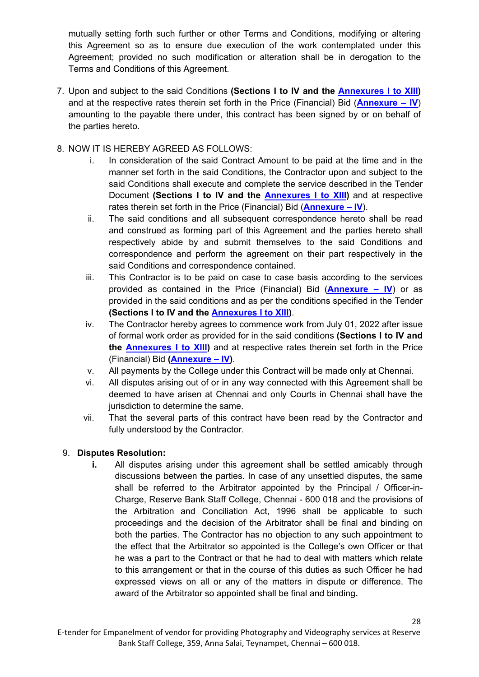mutually setting forth such further or other Terms and Conditions, modifying or altering this Agreement so as to ensure due execution of the work contemplated under this Agreement; provided no such modification or alteration shall be in derogation to the Terms and Conditions of this Agreement.

7. Upon and subject to the said Conditions **(Sections I to IV and the [Annexures I to XIII\)](#page-28-0)**  and at the respective rates therein set forth in the Price (Financial) Bid (**[Annexure – IV](#page-39-0)**) amounting to the payable there under, this contract has been signed by or on behalf of the parties hereto.

## 8. NOW IT IS HEREBY AGREED AS FOLLOWS:

- i. In consideration of the said Contract Amount to be paid at the time and in the manner set forth in the said Conditions, the Contractor upon and subject to the said Conditions shall execute and complete the service described in the Tender Document **(Sections I to IV and the [Annexures I to XIII\)](#page-48-0)** and at respective rates therein set forth in the Price (Financial) Bid (**[Annexure – IV](#page-39-0)**).
- ii. The said conditions and all subsequent correspondence hereto shall be read and construed as forming part of this Agreement and the parties hereto shall respectively abide by and submit themselves to the said Conditions and correspondence and perform the agreement on their part respectively in the said Conditions and correspondence contained.
- iii. This Contractor is to be paid on case to case basis according to the services provided as contained in the Price (Financial) Bid (**[Annexure – IV](#page-39-0)**) or as provided in the said conditions and as per the conditions specified in the Tender **(Sections I to IV and the [Annexures I to XIII\)](#page-28-0)**.
- iv. The Contractor hereby agrees to commence work from July 01, 2022 after issue of formal work order as provided for in the said conditions **(Sections I to IV and the [Annexures I to XIII\)](#page-28-0)** and at respective rates therein set forth in the Price (Financial) Bid **[\(Annexure – IV\)](#page-39-0)**.
- v. All payments by the College under this Contract will be made only at Chennai.
- vi. All disputes arising out of or in any way connected with this Agreement shall be deemed to have arisen at Chennai and only Courts in Chennai shall have the jurisdiction to determine the same.
- vii. That the several parts of this contract have been read by the Contractor and fully understood by the Contractor.

#### 9. **Disputes Resolution:**

**i.** All disputes arising under this agreement shall be settled amicably through discussions between the parties. In case of any unsettled disputes, the same shall be referred to the Arbitrator appointed by the Principal / Officer-in-Charge, Reserve Bank Staff College, Chennai - 600 018 and the provisions of the Arbitration and Conciliation Act, 1996 shall be applicable to such proceedings and the decision of the Arbitrator shall be final and binding on both the parties. The Contractor has no objection to any such appointment to the effect that the Arbitrator so appointed is the College's own Officer or that he was a part to the Contract or that he had to deal with matters which relate to this arrangement or that in the course of this duties as such Officer he had expressed views on all or any of the matters in dispute or difference. The award of the Arbitrator so appointed shall be final and binding**.**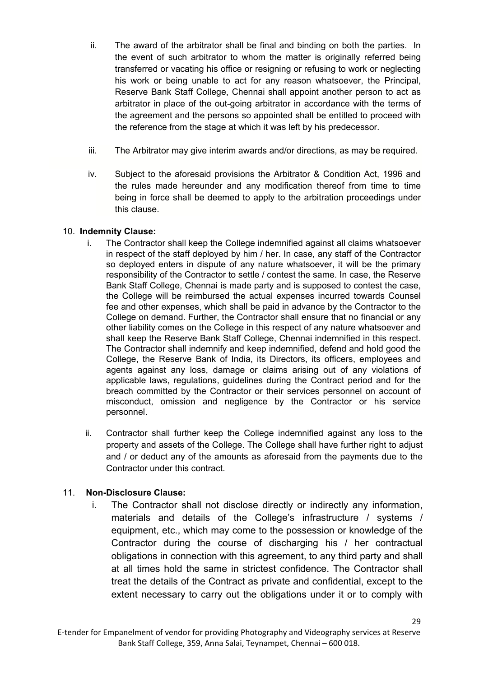- ii. The award of the arbitrator shall be final and binding on both the parties. In the event of such arbitrator to whom the matter is originally referred being transferred or vacating his office or resigning or refusing to work or neglecting his work or being unable to act for any reason whatsoever, the Principal, Reserve Bank Staff College, Chennai shall appoint another person to act as arbitrator in place of the out-going arbitrator in accordance with the terms of the agreement and the persons so appointed shall be entitled to proceed with the reference from the stage at which it was left by his predecessor.
- iii. The Arbitrator may give interim awards and/or directions, as may be required.
- iv. Subject to the aforesaid provisions the Arbitrator & Condition Act, 1996 and the rules made hereunder and any modification thereof from time to time being in force shall be deemed to apply to the arbitration proceedings under this clause.

## 10. **Indemnity Clause:**

- i. The Contractor shall keep the College indemnified against all claims whatsoever in respect of the staff deployed by him / her. In case, any staff of the Contractor so deployed enters in dispute of any nature whatsoever, it will be the primary responsibility of the Contractor to settle / contest the same. In case, the Reserve Bank Staff College, Chennai is made party and is supposed to contest the case, the College will be reimbursed the actual expenses incurred towards Counsel fee and other expenses, which shall be paid in advance by the Contractor to the College on demand. Further, the Contractor shall ensure that no financial or any other liability comes on the College in this respect of any nature whatsoever and shall keep the Reserve Bank Staff College, Chennai indemnified in this respect. The Contractor shall indemnify and keep indemnified, defend and hold good the College, the Reserve Bank of India, its Directors, its officers, employees and agents against any loss, damage or claims arising out of any violations of applicable laws, regulations, guidelines during the Contract period and for the breach committed by the Contractor or their services personnel on account of misconduct, omission and negligence by the Contractor or his service personnel.
- ii. Contractor shall further keep the College indemnified against any loss to the property and assets of the College. The College shall have further right to adjust and / or deduct any of the amounts as aforesaid from the payments due to the Contractor under this contract.

## 11. **Non-Disclosure Clause:**

i. The Contractor shall not disclose directly or indirectly any information, materials and details of the College's infrastructure / systems / equipment, etc., which may come to the possession or knowledge of the Contractor during the course of discharging his / her contractual obligations in connection with this agreement, to any third party and shall at all times hold the same in strictest confidence. The Contractor shall treat the details of the Contract as private and confidential, except to the extent necessary to carry out the obligations under it or to comply with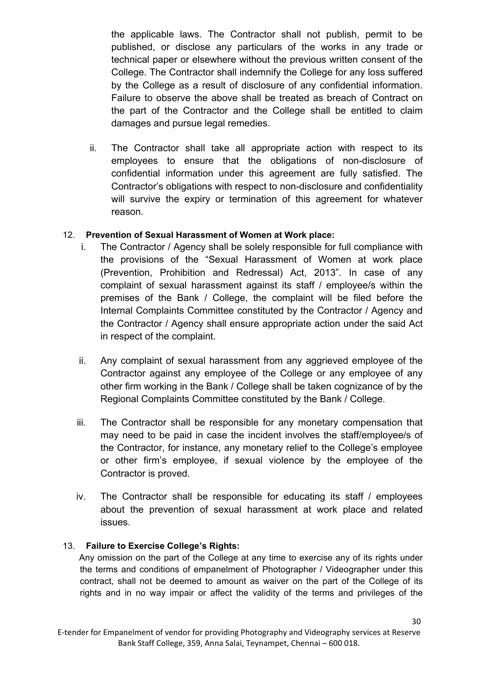the applicable laws. The Contractor shall not publish, permit to be published, or disclose any particulars of the works in any trade or technical paper or elsewhere without the previous written consent of the College. The Contractor shall indemnify the College for any loss suffered by the College as a result of disclosure of any confidential information. Failure to observe the above shall be treated as breach of Contract on the part of the Contractor and the College shall be entitled to claim damages and pursue legal remedies.

ii. The Contractor shall take all appropriate action with respect to its employees to ensure that the obligations of non-disclosure of confidential information under this agreement are fully satisfied. The Contractor's obligations with respect to non-disclosure and confidentiality will survive the expiry or termination of this agreement for whatever reason.

## 12. **Prevention of Sexual Harassment of Women at Work place:**

- i. The Contractor / Agency shall be solely responsible for full compliance with the provisions of the "Sexual Harassment of Women at work place (Prevention, Prohibition and Redressal) Act, 2013". In case of any complaint of sexual harassment against its staff / employee/s within the premises of the Bank / College, the complaint will be filed before the Internal Complaints Committee constituted by the Contractor / Agency and the Contractor / Agency shall ensure appropriate action under the said Act in respect of the complaint.
- ii. Any complaint of sexual harassment from any aggrieved employee of the Contractor against any employee of the College or any employee of any other firm working in the Bank / College shall be taken cognizance of by the Regional Complaints Committee constituted by the Bank / College.
- iii. The Contractor shall be responsible for any monetary compensation that may need to be paid in case the incident involves the staff/employee/s of the Contractor, for instance, any monetary relief to the College's employee or other firm's employee, if sexual violence by the employee of the Contractor is proved.
- iv. The Contractor shall be responsible for educating its staff / employees about the prevention of sexual harassment at work place and related issues.

## 13. **Failure to Exercise College's Rights:**

 Any omission on the part of the College at any time to exercise any of its rights under the terms and conditions of empanelment of Photographer / Videographer under this contract, shall not be deemed to amount as waiver on the part of the College of its rights and in no way impair or affect the validity of the terms and privileges of the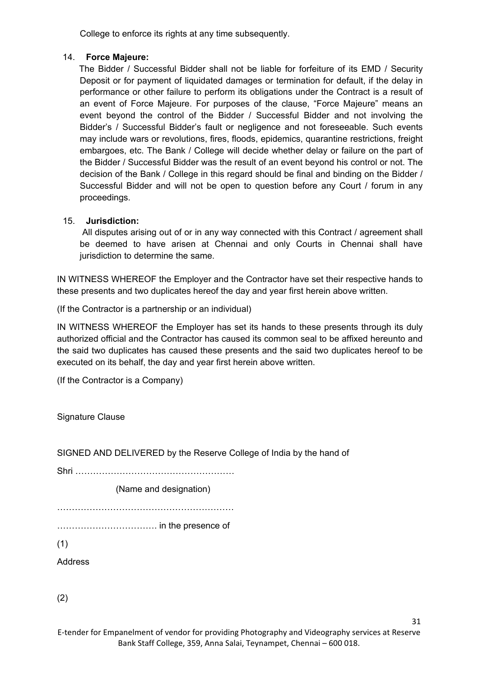College to enforce its rights at any time subsequently.

#### 14. **Force Majeure:**

 The Bidder / Successful Bidder shall not be liable for forfeiture of its EMD / Security Deposit or for payment of liquidated damages or termination for default, if the delay in performance or other failure to perform its obligations under the Contract is a result of an event of Force Majeure. For purposes of the clause, "Force Majeure" means an event beyond the control of the Bidder / Successful Bidder and not involving the Bidder's / Successful Bidder's fault or negligence and not foreseeable. Such events may include wars or revolutions, fires, floods, epidemics, quarantine restrictions, freight embargoes, etc. The Bank / College will decide whether delay or failure on the part of the Bidder / Successful Bidder was the result of an event beyond his control or not. The decision of the Bank / College in this regard should be final and binding on the Bidder / Successful Bidder and will not be open to question before any Court / forum in any proceedings.

#### 15. **Jurisdiction:**

All disputes arising out of or in any way connected with this Contract / agreement shall be deemed to have arisen at Chennai and only Courts in Chennai shall have jurisdiction to determine the same.

IN WITNESS WHEREOF the Employer and the Contractor have set their respective hands to these presents and two duplicates hereof the day and year first herein above written.

(If the Contractor is a partnership or an individual)

IN WITNESS WHEREOF the Employer has set its hands to these presents through its duly authorized official and the Contractor has caused its common seal to be affixed hereunto and the said two duplicates has caused these presents and the said two duplicates hereof to be executed on its behalf, the day and year first herein above written.

(If the Contractor is a Company)

Signature Clause

SIGNED AND DELIVERED by the Reserve College of India by the hand of

Shri ………………………………………………

(Name and designation)

……………………………………………………

……………………………. in the presence of

(1)

Address

(2)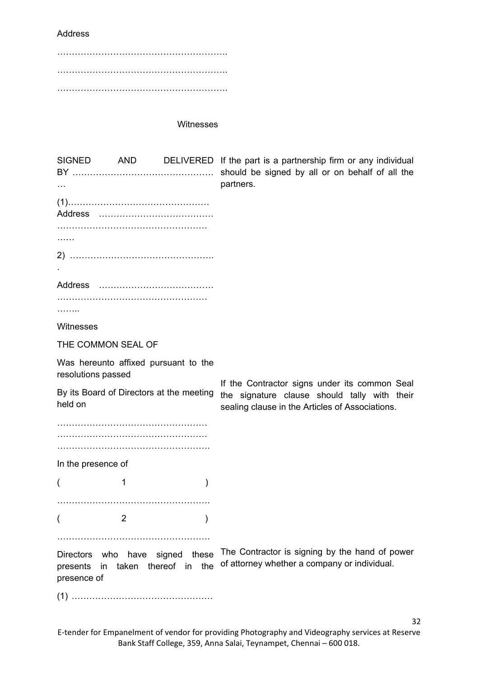Address

…………………………………………………. …………………………………………………. ………………………………………………….

Witnesses

| <b>Address</b>                                                                              | SIGNED AND DELIVERED If the part is a partnership firm or any individual<br>should be signed by all or on behalf of all the<br>partners.         |
|---------------------------------------------------------------------------------------------|--------------------------------------------------------------------------------------------------------------------------------------------------|
|                                                                                             |                                                                                                                                                  |
| .                                                                                           |                                                                                                                                                  |
|                                                                                             |                                                                                                                                                  |
|                                                                                             |                                                                                                                                                  |
| .                                                                                           |                                                                                                                                                  |
| Witnesses                                                                                   |                                                                                                                                                  |
| THE COMMON SEAL OF                                                                          |                                                                                                                                                  |
| Was hereunto affixed pursuant to the<br>resolutions passed                                  |                                                                                                                                                  |
| By its Board of Directors at the meeting<br>held on                                         | If the Contractor signs under its common Seal<br>the signature clause should tally with their<br>sealing clause in the Articles of Associations. |
|                                                                                             |                                                                                                                                                  |
| In the presence of                                                                          |                                                                                                                                                  |
| 1<br>$\mathcal{Y}$                                                                          |                                                                                                                                                  |
|                                                                                             |                                                                                                                                                  |
| 2                                                                                           |                                                                                                                                                  |
|                                                                                             |                                                                                                                                                  |
| Directors who have signed<br>these<br>taken thereof in the<br>presents<br>in<br>presence of | The Contractor is signing by the hand of power<br>of attorney whether a company or individual.                                                   |
|                                                                                             |                                                                                                                                                  |

E-tender for Empanelment of vendor for providing Photography and Videography services at Reserve Bank Staff College, 359, Anna Salai, Teynampet, Chennai – 600 018.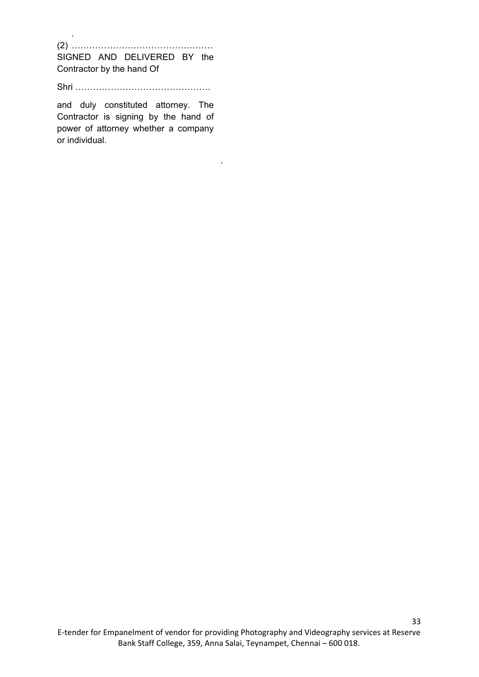(2) ………………………………………… SIGNED AND DELIVERED BY the Contractor by the hand Of

.

Shri ……………………………………….

and duly constituted attorney. The Contractor is signing by the hand of power of attorney whether a company or individual.

.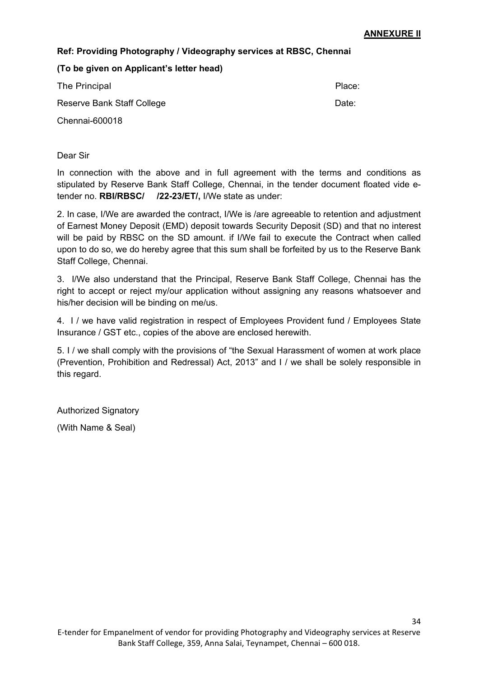## **Ref: Providing Photography / Videography services at RBSC, Chennai**

**(To be given on Applicant's letter head)**

| The Principal              | Place: |
|----------------------------|--------|
| Reserve Bank Staff College | Date:  |
| Chennai-600018             |        |

Dear Sir

In connection with the above and in full agreement with the terms and conditions as stipulated by Reserve Bank Staff College, Chennai, in the tender document floated vide etender no. **RBI/RBSC/ /22-23/ET/,** I/We state as under:

2. In case, I/We are awarded the contract, I/We is /are agreeable to retention and adjustment of Earnest Money Deposit (EMD) deposit towards Security Deposit (SD) and that no interest will be paid by RBSC on the SD amount. if I/We fail to execute the Contract when called upon to do so, we do hereby agree that this sum shall be forfeited by us to the Reserve Bank Staff College, Chennai.

3. I/We also understand that the Principal, Reserve Bank Staff College, Chennai has the right to accept or reject my/our application without assigning any reasons whatsoever and his/her decision will be binding on me/us.

4. I / we have valid registration in respect of Employees Provident fund / Employees State Insurance / GST etc., copies of the above are enclosed herewith.

5. I / we shall comply with the provisions of "the Sexual Harassment of women at work place (Prevention, Prohibition and Redressal) Act, 2013" and I / we shall be solely responsible in this regard.

Authorized Signatory

(With Name & Seal)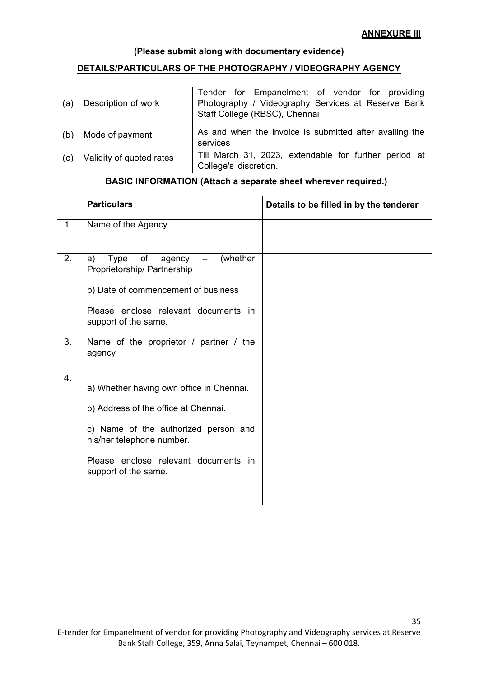## **(Please submit along with documentary evidence)**

## <span id="page-36-0"></span>**DETAILS/PARTICULARS OF THE PHOTOGRAPHY / VIDEOGRAPHY AGENCY**

| (a) | Description of work                                                                                                                                                                                                   | Staff College (RBSC), Chennai | Tender for Empanelment of vendor for providing<br>Photography / Videography Services at Reserve Bank |
|-----|-----------------------------------------------------------------------------------------------------------------------------------------------------------------------------------------------------------------------|-------------------------------|------------------------------------------------------------------------------------------------------|
| (b) | Mode of payment                                                                                                                                                                                                       | services                      | As and when the invoice is submitted after availing the                                              |
| (c) | Validity of quoted rates                                                                                                                                                                                              | College's discretion.         | Till March 31, 2023, extendable for further period at                                                |
|     |                                                                                                                                                                                                                       |                               | <b>BASIC INFORMATION (Attach a separate sheet wherever required.)</b>                                |
|     | <b>Particulars</b>                                                                                                                                                                                                    |                               | Details to be filled in by the tenderer                                                              |
| 1.  | Name of the Agency                                                                                                                                                                                                    |                               |                                                                                                      |
| 2.  | of<br><b>Type</b><br>(whether<br>agency<br>a)<br>Proprietorship/ Partnership<br>b) Date of commencement of business<br>Please enclose relevant documents in<br>support of the same.                                   |                               |                                                                                                      |
|     | 3.<br>Name of the proprietor / partner / the<br>agency                                                                                                                                                                |                               |                                                                                                      |
| 4.  | a) Whether having own office in Chennai.<br>b) Address of the office at Chennai.<br>c) Name of the authorized person and<br>his/her telephone number.<br>Please enclose relevant documents in<br>support of the same. |                               |                                                                                                      |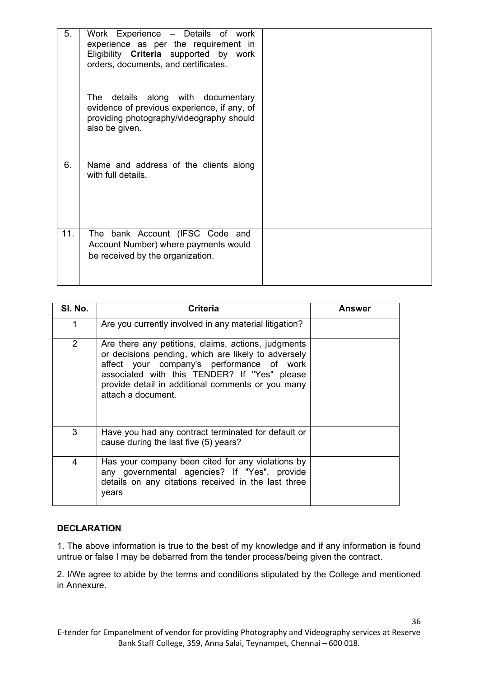| 5.  | Work Experience - Details of work<br>experience as per the requirement in<br>Eligibility <b>Criteria</b> supported by work<br>orders, documents, and certificates. |  |
|-----|--------------------------------------------------------------------------------------------------------------------------------------------------------------------|--|
|     | The details along with documentary<br>evidence of previous experience, if any, of<br>providing photography/videography should<br>also be given.                    |  |
| 6.  | Name and address of the clients along<br>with full details.                                                                                                        |  |
| 11. | The bank Account (IFSC Code and<br>Account Number) where payments would<br>be received by the organization.                                                        |  |

| SI. No. | <b>Criteria</b>                                                                                                                                                                                                                                                                    | Answer |
|---------|------------------------------------------------------------------------------------------------------------------------------------------------------------------------------------------------------------------------------------------------------------------------------------|--------|
| 1       | Are you currently involved in any material litigation?                                                                                                                                                                                                                             |        |
| 2       | Are there any petitions, claims, actions, judgments<br>or decisions pending, which are likely to adversely<br>affect your company's performance of work<br>associated with this TENDER? If "Yes" please<br>provide detail in additional comments or you many<br>attach a document. |        |
| 3       | Have you had any contract terminated for default or<br>cause during the last five (5) years?                                                                                                                                                                                       |        |
| 4       | Has your company been cited for any violations by<br>any governmental agencies? If "Yes", provide<br>details on any citations received in the last three<br>years                                                                                                                  |        |

## **DECLARATION**

1. The above information is true to the best of my knowledge and if any information is found untrue or false I may be debarred from the tender process/being given the contract.

2. I/We agree to abide by the terms and conditions stipulated by the College and mentioned in Annexure.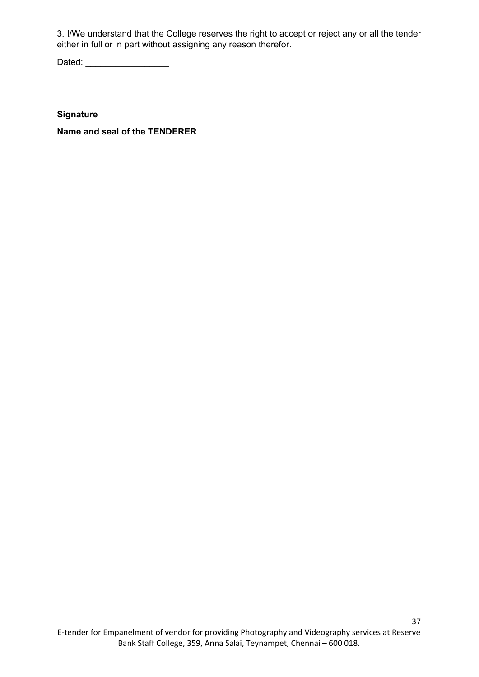3. I/We understand that the College reserves the right to accept or reject any or all the tender either in full or in part without assigning any reason therefor.

Dated: \_\_\_\_\_\_\_\_\_\_\_\_\_\_\_\_\_

**Signature** 

**Name and seal of the TENDERER**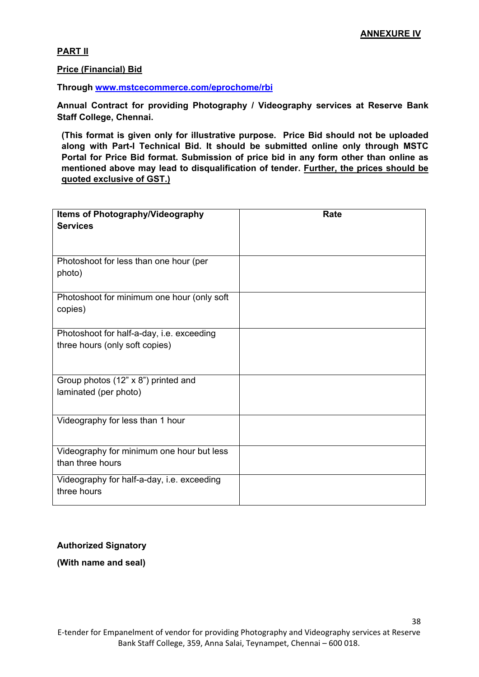38

#### <span id="page-39-0"></span>**PART II**

**Price (Financial) Bid** 

**Through [www.mstcecommerce.com/eprochome/rbi](https://www.mstcecommerce.com/eprochome/rbi)** 

**Annual Contract for providing Photography / Videography services at Reserve Bank Staff College, Chennai.**

**(This format is given only for illustrative purpose. Price Bid should not be uploaded along with Part-I Technical Bid. It should be submitted online only through MSTC Portal for Price Bid format. Submission of price bid in any form other than online as mentioned above may lead to disqualification of tender. Further, the prices should be quoted exclusive of GST.)**

| <b>Items of Photography/Videography</b>                   | Rate |
|-----------------------------------------------------------|------|
| <b>Services</b>                                           |      |
|                                                           |      |
| Photoshoot for less than one hour (per<br>photo)          |      |
|                                                           |      |
| Photoshoot for minimum one hour (only soft                |      |
| copies)                                                   |      |
| Photoshoot for half-a-day, i.e. exceeding                 |      |
| three hours (only soft copies)                            |      |
|                                                           |      |
| Group photos (12" x 8") printed and                       |      |
| laminated (per photo)                                     |      |
| Videography for less than 1 hour                          |      |
|                                                           |      |
| Videography for minimum one hour but less                 |      |
| than three hours                                          |      |
| Videography for half-a-day, i.e. exceeding<br>three hours |      |
|                                                           |      |

#### **Authorized Signatory**

**(With name and seal)**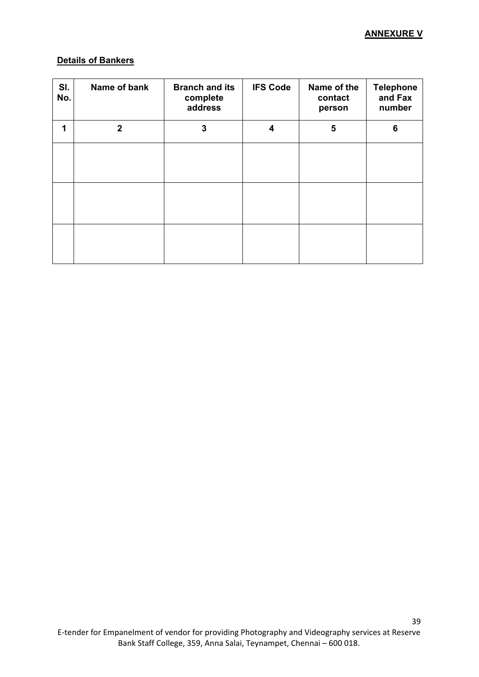## <span id="page-40-0"></span>**Details of Bankers**

| SI.<br>No. | Name of bank   | <b>Branch and its</b><br>complete<br>address | <b>IFS Code</b> | Name of the<br>contact<br>person | <b>Telephone</b><br>and Fax<br>number |
|------------|----------------|----------------------------------------------|-----------------|----------------------------------|---------------------------------------|
| 1          | $\overline{2}$ | 3                                            | 4               | 5                                | 6                                     |
|            |                |                                              |                 |                                  |                                       |
|            |                |                                              |                 |                                  |                                       |
|            |                |                                              |                 |                                  |                                       |
|            |                |                                              |                 |                                  |                                       |
|            |                |                                              |                 |                                  |                                       |
|            |                |                                              |                 |                                  |                                       |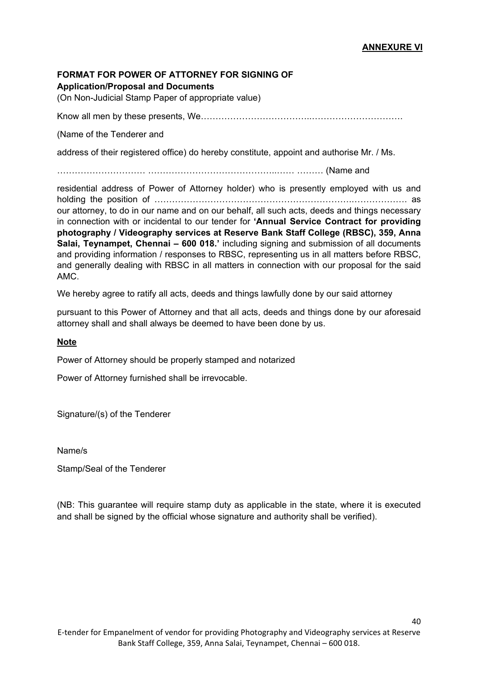40

#### <span id="page-41-0"></span>**FORMAT FOR POWER OF ATTORNEY FOR SIGNING OF Application/Proposal and Documents**

(On Non-Judicial Stamp Paper of appropriate value)

Know all men by these presents, We………………………………..………………………….

(Name of the Tenderer and

address of their registered office) do hereby constitute, appoint and authorise Mr. / Ms.

………………………… ……………………………………..…… ……… (Name and

residential address of Power of Attorney holder) who is presently employed with us and holding the position of ………………………………………………………….………………. as our attorney, to do in our name and on our behalf, all such acts, deeds and things necessary in connection with or incidental to our tender for **'Annual Service Contract for providing photography / Videography services at Reserve Bank Staff College (RBSC), 359, Anna Salai, Teynampet, Chennai – 600 018.'** including signing and submission of all documents and providing information / responses to RBSC, representing us in all matters before RBSC, and generally dealing with RBSC in all matters in connection with our proposal for the said AMC.

We hereby agree to ratify all acts, deeds and things lawfully done by our said attorney

pursuant to this Power of Attorney and that all acts, deeds and things done by our aforesaid attorney shall and shall always be deemed to have been done by us.

#### **Note**

Power of Attorney should be properly stamped and notarized

Power of Attorney furnished shall be irrevocable.

Signature/(s) of the Tenderer

Name/s

Stamp/Seal of the Tenderer

(NB: This guarantee will require stamp duty as applicable in the state, where it is executed and shall be signed by the official whose signature and authority shall be verified).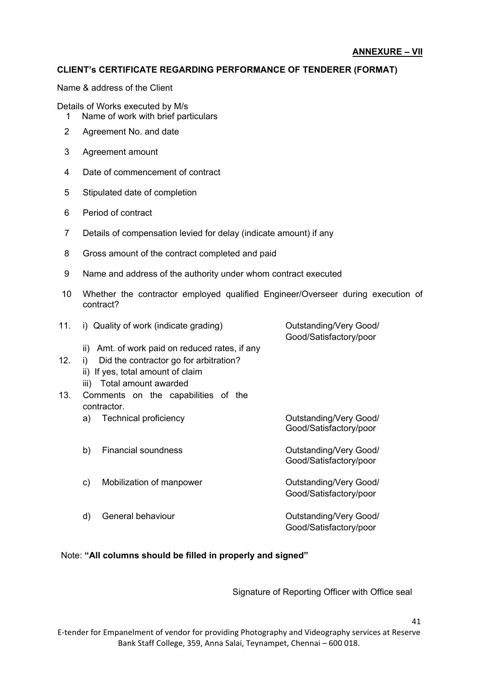## **CLIENT's CERTIFICATE REGARDING PERFORMANCE OF TENDERER (FORMAT)**

Name & address of the Client

Details of Works executed by M/s

- 1 Name of work with brief particulars
- 2 Agreement No. and date
- 3 Agreement amount
- 4 Date of commencement of contract
- 5 Stipulated date of completion
- 6 Period of contract
- 7 Details of compensation levied for delay (indicate amount) if any
- 8 Gross amount of the contract completed and paid
- 9 Name and address of the authority under whom contract executed
- 10 Whether the contractor employed qualified Engineer/Overseer during execution of contract?

| 11.             |      | i) Quality of work (indicate grading)      | Outstanding/Very Good/<br>Good/Satisfactory/poor |
|-----------------|------|--------------------------------------------|--------------------------------------------------|
|                 | ii)  | Amt. of work paid on reduced rates, if any |                                                  |
| 12 <sub>1</sub> | i)   | Did the contractor go for arbitration?     |                                                  |
|                 |      | ii) If yes, total amount of claim          |                                                  |
|                 | iii) | Total amount awarded                       |                                                  |
| 13.             |      | Comments on the capabilities of the        |                                                  |
|                 |      | contractor.                                |                                                  |
|                 | a)   | <b>Technical proficiency</b>               | Outstanding/Very Good/<br>Good/Satisfactory/poor |
|                 | b)   | <b>Financial soundness</b>                 | Outstanding/Very Good/<br>Good/Satisfactory/poor |
|                 | c)   | Mobilization of manpower                   | Outstanding/Very Good/<br>Good/Satisfactory/poor |
|                 | d)   | General behaviour                          | Outstanding/Very Good/<br>Good/Satisfactory/poor |

#### Note: **"All columns should be filled in properly and signed"**

Signature of Reporting Officer with Office seal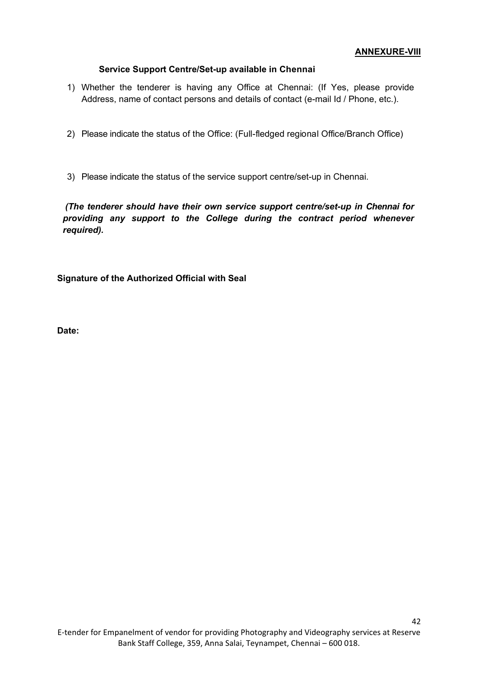#### **ANNEXURE-VIII**

42

#### **Service Support Centre/Set-up available in Chennai**

- 1) Whether the tenderer is having any Office at Chennai: (If Yes, please provide Address, name of contact persons and details of contact (e-mail Id / Phone, etc.).
- 2) Please indicate the status of the Office: (Full-fledged regional Office/Branch Office)
- 3) Please indicate the status of the service support centre/set-up in Chennai.

 *(The tenderer should have their own service support centre/set-up in Chennai for providing any support to the College during the contract period whenever required).* 

**Signature of the Authorized Official with Seal**

**Date:**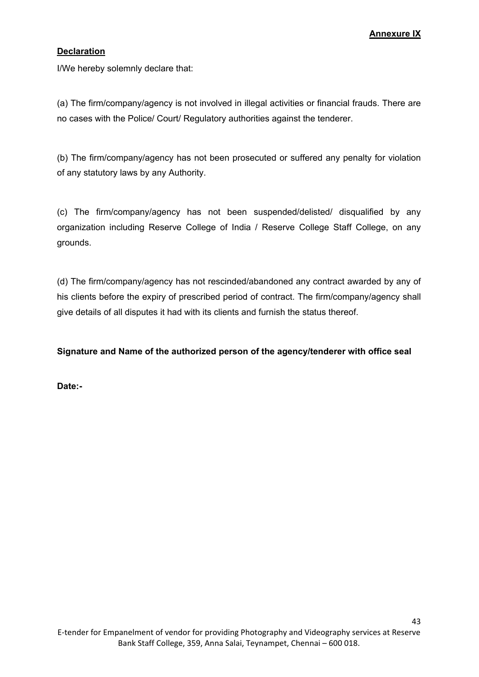## **Annexure IX**

43

#### <span id="page-44-0"></span>**Declaration**

I/We hereby solemnly declare that:

(a) The firm/company/agency is not involved in illegal activities or financial frauds. There are no cases with the Police/ Court/ Regulatory authorities against the tenderer.

(b) The firm/company/agency has not been prosecuted or suffered any penalty for violation of any statutory laws by any Authority.

(c) The firm/company/agency has not been suspended/delisted/ disqualified by any organization including Reserve College of India / Reserve College Staff College, on any grounds.

(d) The firm/company/agency has not rescinded/abandoned any contract awarded by any of his clients before the expiry of prescribed period of contract. The firm/company/agency shall give details of all disputes it had with its clients and furnish the status thereof.

**Signature and Name of the authorized person of the agency/tenderer with office seal**

**Date:-**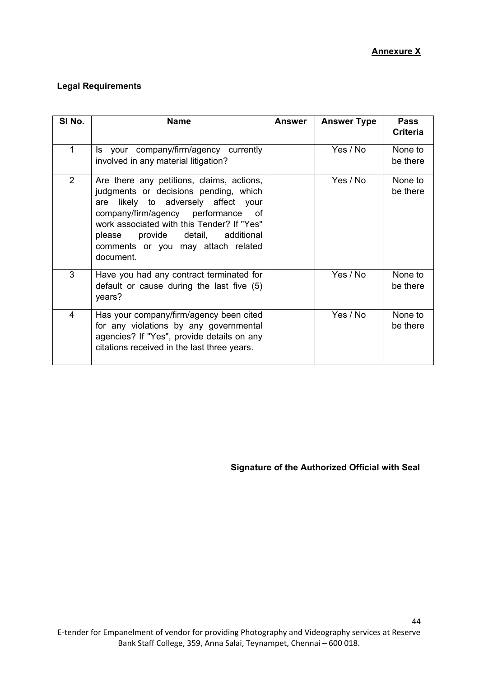## **Legal Requirements**

| SI No.         | <b>Name</b>                                                                                                                                                                                                                                                                                              | Answer | <b>Answer Type</b> | <b>Pass</b><br><b>Criteria</b> |
|----------------|----------------------------------------------------------------------------------------------------------------------------------------------------------------------------------------------------------------------------------------------------------------------------------------------------------|--------|--------------------|--------------------------------|
| $\mathbf{1}$   | Is your company/firm/agency currently<br>involved in any material litigation?                                                                                                                                                                                                                            |        | Yes / No           | None to<br>be there            |
| $\overline{2}$ | Are there any petitions, claims, actions,<br>judgments or decisions pending, which<br>likely to adversely affect your<br>are<br>company/firm/agency performance of<br>work associated with this Tender? If "Yes"<br>please provide detail, additional<br>comments or you may attach related<br>document. |        | Yes / No           | None to<br>be there            |
| 3              | Have you had any contract terminated for<br>default or cause during the last five (5)<br>years?                                                                                                                                                                                                          |        | Yes / No           | None to<br>be there            |
| 4              | Has your company/firm/agency been cited<br>for any violations by any governmental<br>agencies? If "Yes", provide details on any<br>citations received in the last three years.                                                                                                                           |        | Yes / No           | None to<br>be there            |

 **Signature of the Authorized Official with Seal**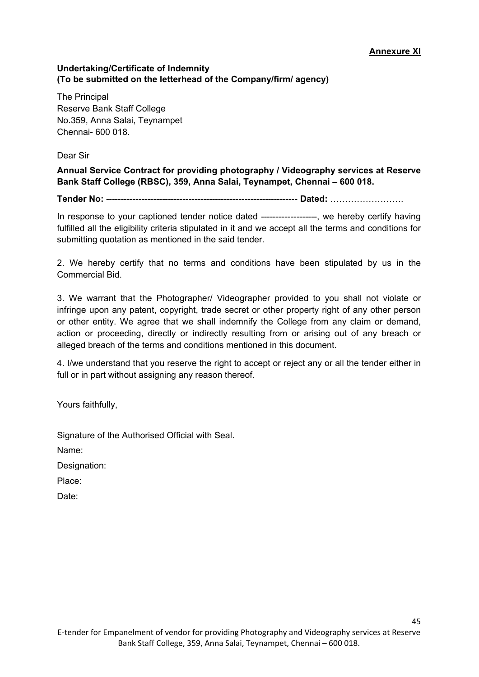45

#### **Undertaking/Certificate of Indemnity (To be submitted on the letterhead of the Company/firm/ agency)**

The Principal Reserve Bank Staff College No.359, Anna Salai, Teynampet Chennai- 600 018.

Dear Sir

**Annual Service Contract for providing photography / Videography services at Reserve Bank Staff College (RBSC), 359, Anna Salai, Teynampet, Chennai – 600 018.**

**Tender No:** ----------------------------------------------------------------- **Dated:** …………………….

In response to your captioned tender notice dated ------------------., we hereby certify having fulfilled all the eligibility criteria stipulated in it and we accept all the terms and conditions for submitting quotation as mentioned in the said tender.

2. We hereby certify that no terms and conditions have been stipulated by us in the Commercial Bid.

3. We warrant that the Photographer/ Videographer provided to you shall not violate or infringe upon any patent, copyright, trade secret or other property right of any other person or other entity. We agree that we shall indemnify the College from any claim or demand, action or proceeding, directly or indirectly resulting from or arising out of any breach or alleged breach of the terms and conditions mentioned in this document.

4. I/we understand that you reserve the right to accept or reject any or all the tender either in full or in part without assigning any reason thereof.

Yours faithfully,

Signature of the Authorised Official with Seal.

Name:

Designation:

Place:

Date: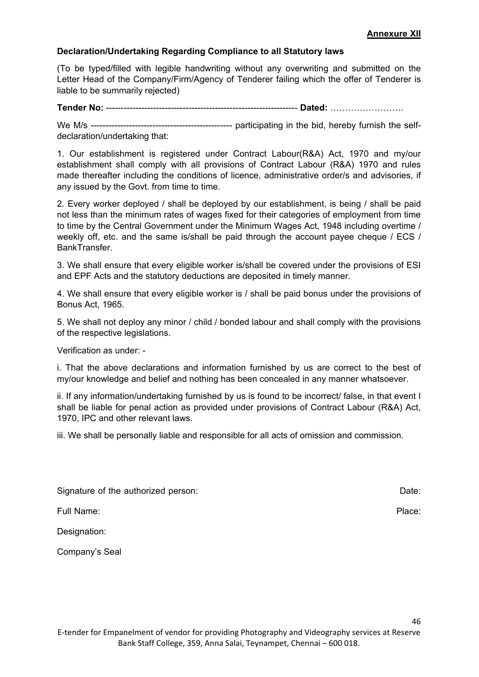#### **Declaration/Undertaking Regarding Compliance to all Statutory laws**

(To be typed/filled with legible handwriting without any overwriting and submitted on the Letter Head of the Company/Firm/Agency of Tenderer failing which the offer of Tenderer is liable to be summarily rejected)

**Tender No:** ----------------------------------------------------------------- **Dated:** …………………….

We M/s ------------------------------------------------ participating in the bid, hereby furnish the selfdeclaration/undertaking that:

1. Our establishment is registered under Contract Labour(R&A) Act, 1970 and my/our establishment shall comply with all provisions of Contract Labour (R&A) 1970 and rules made thereafter including the conditions of licence, administrative order/s and advisories, if any issued by the Govt. from time to time.

2. Every worker deployed / shall be deployed by our establishment, is being / shall be paid not less than the minimum rates of wages fixed for their categories of employment from time to time by the Central Government under the Minimum Wages Act, 1948 including overtime / weekly off, etc. and the same is/shall be paid through the account payee cheque / ECS / BankTransfer.

3. We shall ensure that every eligible worker is/shall be covered under the provisions of ESI and EPF Acts and the statutory deductions are deposited in timely manner.

4. We shall ensure that every eligible worker is / shall be paid bonus under the provisions of Bonus Act, 1965.

5. We shall not deploy any minor / child / bonded labour and shall comply with the provisions of the respective legislations.

Verification as under: -

i. That the above declarations and information furnished by us are correct to the best of my/our knowledge and belief and nothing has been concealed in any manner whatsoever.

ii. If any information/undertaking furnished by us is found to be incorrect/ false, in that event I shall be liable for penal action as provided under provisions of Contract Labour (R&A) Act, 1970, IPC and other relevant laws.

iii. We shall be personally liable and responsible for all acts of omission and commission.

Signature of the authorized person: Date: Date: Date: Date: Date: Date: Date: Date: Date: Date: Date: Date: Date: Date: Date: Date: Date: Date: Date: Date: Date: Date: Date: Date: Date: Date: Date: Date: Date: Date: Date:

Full Name: Place:

Designation:

Company's Seal